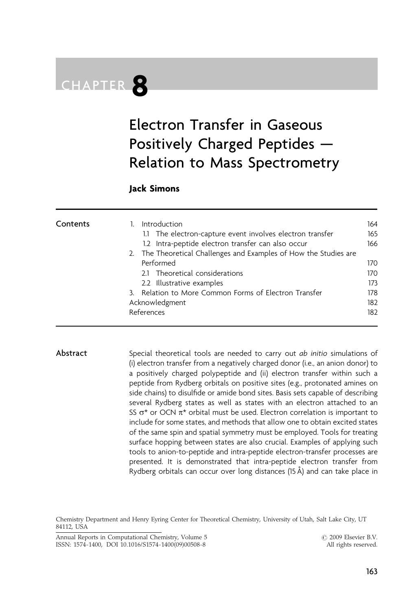# CHAPTER 8

# Electron Transfer in Gaseous Positively Charged Peptides — Relation to Mass Spectrometry

#### Jack Simons

| Contents | Introduction                                                      | 164 |
|----------|-------------------------------------------------------------------|-----|
|          | 1.1 The electron-capture event involves electron transfer         | 165 |
|          | 1.2 Intra-peptide electron transfer can also occur                | 166 |
|          | 2. The Theoretical Challenges and Examples of How the Studies are |     |
|          | Performed                                                         | 170 |
|          | 2.1 Theoretical considerations                                    | 170 |
|          | 2.2 Illustrative examples                                         | 173 |
|          | 3. Relation to More Common Forms of Electron Transfer             | 178 |
|          | Acknowledgment                                                    | 182 |
|          | References                                                        | 182 |
|          |                                                                   |     |

Abstract Special theoretical tools are needed to carry out ab initio simulations of (i) electron transfer from a negatively charged donor (i.e., an anion donor) to a positively charged polypeptide and (ii) electron transfer within such a peptide from Rydberg orbitals on positive sites (e.g., protonated amines on side chains) to disulfide or amide bond sites. Basis sets capable of describing several Rydberg states as well as states with an electron attached to an SS  $\sigma^*$  or OCN  $\pi^*$  orbital must be used. Electron correlation is important to include for some states, and methods that allow one to obtain excited states of the same spin and spatial symmetry must be employed. Tools for treating surface hopping between states are also crucial. Examples of applying such tools to anion-to-peptide and intra-peptide electron-transfer processes are presented. It is demonstrated that intra-peptide electron transfer from Rydberg orbitals can occur over long distances (15 Å) and can take place in

Chemistry Department and Henry Eyring Center for Theoretical Chemistry, University of Utah, Salt Lake City, UT 84112, USA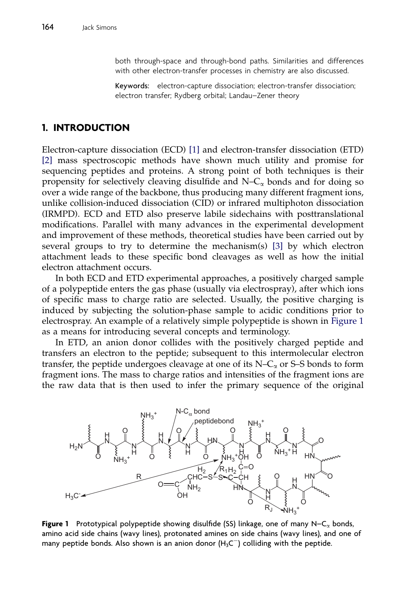<span id="page-1-0"></span>both through-space and through-bond paths. Similarities and differences with other electron-transfer processes in chemistry are also discussed.

Keywords: electron-capture dissociation; electron-transfer dissociation; electron transfer; Rydberg orbital; Landau–Zener theory

#### 1. INTRODUCTION

Electron-capture dissociation (ECD) [\[1\]](#page-19-0) and electron-transfer dissociation (ETD) [\[2\]](#page-19-0) mass spectroscopic methods have shown much utility and promise for sequencing peptides and proteins. A strong point of both techniques is their propensity for selectively cleaving disulfide and  $N-C_{\alpha}$  bonds and for doing so over a wide range of the backbone, thus producing many different fragment ions, unlike collision-induced dissociation (CID) or infrared multiphoton dissociation (IRMPD). ECD and ETD also preserve labile sidechains with posttranslational modifications. Parallel with many advances in the experimental development and improvement of these methods, theoretical studies have been carried out by several groups to try to determine the mechanism(s) [\[3\]](#page-19-0) by which electron attachment leads to these specific bond cleavages as well as how the initial electron attachment occurs.

In both ECD and ETD experimental approaches, a positively charged sample of a polypeptide enters the gas phase (usually via electrospray), after which ions of specific mass to charge ratio are selected. Usually, the positive charging is induced by subjecting the solution-phase sample to acidic conditions prior to electrospray. An example of a relatively simple polypeptide is shown in Figure 1 as a means for introducing several concepts and terminology.

In ETD, an anion donor collides with the positively charged peptide and transfers an electron to the peptide; subsequent to this intermolecular electron transfer, the peptide undergoes cleavage at one of its  $N-C_{\alpha}$  or S–S bonds to form fragment ions. The mass to charge ratios and intensities of the fragment ions are the raw data that is then used to infer the primary sequence of the original



Figure 1 Prototypical polypeptide showing disulfide (SS) linkage, one of many N–C<sub> $\alpha$ </sub> bonds, amino acid side chains (wavy lines), protonated amines on side chains (wavy lines), and one of many peptide bonds. Also shown is an anion donor  $(H_3C^-)$  colliding with the peptide.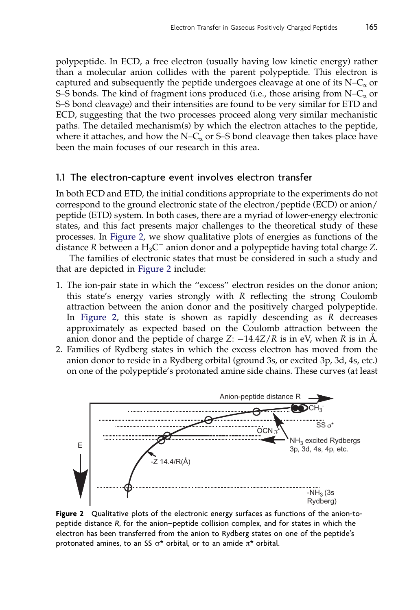<span id="page-2-0"></span>polypeptide. In ECD, a free electron (usually having low kinetic energy) rather than a molecular anion collides with the parent polypeptide. This electron is captured and subsequently the peptide undergoes cleavage at one of its  $N-C_{\alpha}$  or S–S bonds. The kind of fragment ions produced (i.e., those arising from  $N-C_{\alpha}$  or S–S bond cleavage) and their intensities are found to be very similar for ETD and ECD, suggesting that the two processes proceed along very similar mechanistic paths. The detailed mechanism(s) by which the electron attaches to the peptide, where it attaches, and how the N– $C_{\alpha}$  or S–S bond cleavage then takes place have been the main focuses of our research in this area.

#### 1.1 The electron-capture event involves electron transfer

In both ECD and ETD, the initial conditions appropriate to the experiments do not correspond to the ground electronic state of the electron/peptide (ECD) or anion/ peptide (ETD) system. In both cases, there are a myriad of lower-energy electronic states, and this fact presents major challenges to the theoretical study of these processes. In Figure 2, we show qualitative plots of energies as functions of the distance R between a  $H_3C^-$  anion donor and a polypeptide having total charge Z.

The families of electronic states that must be considered in such a study and that are depicted in Figure 2 include:

- 1. The ion-pair state in which the ''excess'' electron resides on the donor anion; this state's energy varies strongly with R reflecting the strong Coulomb attraction between the anion donor and the positively charged polypeptide. In Figure 2, this state is shown as rapidly descending as R decreases approximately as expected based on the Coulomb attraction between the anion donor and the peptide of charge Z:  $-14.4Z/R$  is in eV, when R is in A.
- 2. Families of Rydberg states in which the excess electron has moved from the anion donor to reside in a Rydberg orbital (ground 3s, or excited 3p, 3d, 4s, etc.) on one of the polypeptide's protonated amine side chains. These curves (at least



Figure 2 Qualitative plots of the electronic energy surfaces as functions of the anion-topeptide distance R, for the anion–peptide collision complex, and for states in which the electron has been transferred from the anion to Rydberg states on one of the peptide's protonated amines, to an SS  $\sigma^*$  orbital, or to an amide  $\pi^*$  orbital.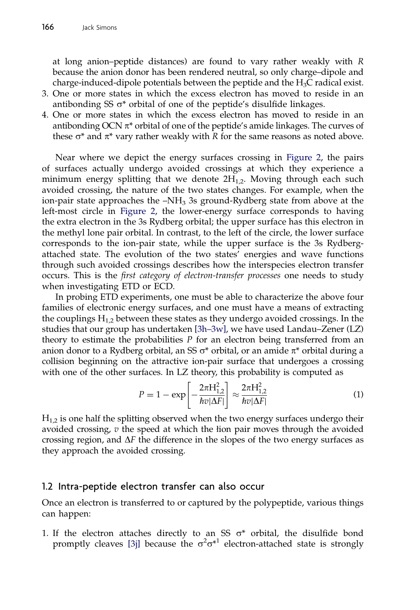at long anion–peptide distances) are found to vary rather weakly with R because the anion donor has been rendered neutral, so only charge–dipole and charge-induced-dipole potentials between the peptide and the  $H_3C$  radical exist.

- 3. One or more states in which the excess electron has moved to reside in an antibonding SS  $\sigma^*$  orbital of one of the peptide's disulfide linkages.
- 4. One or more states in which the excess electron has moved to reside in an antibonding OCN  $\pi^*$  orbital of one of the peptide's amide linkages. The curves of these  $\sigma^*$  and  $\pi^*$  vary rather weakly with R for the same reasons as noted above.

Near where we depict the energy surfaces crossing in [Figure 2](#page-2-0), the pairs of surfaces actually undergo avoided crossings at which they experience a minimum energy splitting that we denote  $2H<sub>1,2</sub>$ . Moving through each such avoided crossing, the nature of the two states changes. For example, when the ion-pair state approaches the  $-NH<sub>3</sub>$  3s ground-Rydberg state from above at the left-most circle in [Figure 2,](#page-2-0) the lower-energy surface corresponds to having the extra electron in the 3s Rydberg orbital; the upper surface has this electron in the methyl lone pair orbital. In contrast, to the left of the circle, the lower surface corresponds to the ion-pair state, while the upper surface is the 3s Rydbergattached state. The evolution of the two states' energies and wave functions through such avoided crossings describes how the interspecies electron transfer occurs. This is the first category of electron-transfer processes one needs to study when investigating ETD or ECD.

In probing ETD experiments, one must be able to characterize the above four families of electronic energy surfaces, and one must have a means of extracting the couplings  $H_{1,2}$  between these states as they undergo avoided crossings. In the studies that our group has undertaken [3h–3w], we have used Landau–Zener (LZ) theory to estimate the probabilities  $P$  for an electron being transferred from an anion donor to a Rydberg orbital, an SS  $\sigma^*$  orbital, or an amide  $\pi^*$  orbital during a collision beginning on the attractive ion-pair surface that undergoes a crossing with one of the other surfaces. In LZ theory, this probability is computed as

$$
P = 1 - \exp\left[-\frac{2\pi H_{1,2}^2}{\hbar v |\Delta F|}\right] \approx \frac{2\pi H_{1,2}^2}{\hbar v |\Delta F|} \tag{1}
$$

 $H<sub>12</sub>$  is one half the splitting observed when the two energy surfaces undergo their avoided crossing,  $v$  the speed at which the lion pair moves through the avoided crossing region, and  $\Delta F$  the difference in the slopes of the two energy surfaces as they approach the avoided crossing.

#### 1.2 Intra-peptide electron transfer can also occur

Once an electron is transferred to or captured by the polypeptide, various things can happen:

1. If the electron attaches directly to an SS  $\sigma^*$  orbital, the disulfide bond promptly cleaves [3j] because the  $\sigma^2 \sigma^{*1}$  electron-attached state is strongly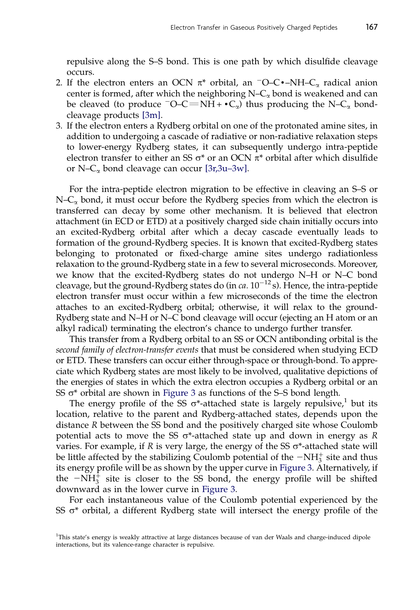repulsive along the S–S bond. This is one path by which disulfide cleavage occurs.

- 2. If the electron enters an OCN  $\pi^*$  orbital, an  $\overline{O}$ –C $\bullet$ –NH–C<sub> $\alpha$ </sub> radical anion center is formed, after which the neighboring  $N-C_{\alpha}$  bond is weakened and can be cleaved (to produce  $\overline{O}$ –C $\equiv N\overline{H} + \cdot C_{\alpha}$ ) thus producing the N–C<sub> $\alpha$ </sub> bondcleavage products [3m].
- 3. If the electron enters a Rydberg orbital on one of the protonated amine sites, in addition to undergoing a cascade of radiative or non-radiative relaxation steps to lower-energy Rydberg states, it can subsequently undergo intra-peptide electron transfer to either an SS  $\sigma^*$  or an OCN  $\pi^*$  orbital after which disulfide or N–C<sub> $\alpha$ </sub> bond cleavage can occur [3r,3u–3w].

For the intra-peptide electron migration to be effective in cleaving an S–S or  $N-C_{\alpha}$  bond, it must occur before the Rydberg species from which the electron is transferred can decay by some other mechanism. It is believed that electron attachment (in ECD or ETD) at a positively charged side chain initially occurs into an excited-Rydberg orbital after which a decay cascade eventually leads to formation of the ground-Rydberg species. It is known that excited-Rydberg states belonging to protonated or fixed-charge amine sites undergo radiationless relaxation to the ground-Rydberg state in a few to several microseconds. Moreover, we know that the excited-Rydberg states do not undergo N–H or N–C bond cleavage, but the ground-Rydberg states do (in  $ca. 10^{-12}$  s). Hence, the intra-peptide electron transfer must occur within a few microseconds of the time the electron attaches to an excited-Rydberg orbital; otherwise, it will relax to the ground-Rydberg state and N–H or N–C bond cleavage will occur (ejecting an H atom or an alkyl radical) terminating the electron's chance to undergo further transfer.

This transfer from a Rydberg orbital to an SS or OCN antibonding orbital is the second family of electron-transfer events that must be considered when studying ECD or ETD. These transfers can occur either through-space or through-bond. To appreciate which Rydberg states are most likely to be involved, qualitative depictions of the energies of states in which the extra electron occupies a Rydberg orbital or an SS  $\sigma^*$  orbital are shown in [Figure 3](#page-5-0) as functions of the S–S bond length.

The energy profile of the SS  $\sigma^*$ -attached state is largely repulsive,<sup>1</sup> but its location, relative to the parent and Rydberg-attached states, depends upon the distance R between the SS bond and the positively charged site whose Coulomb potential acts to move the SS  $\sigma^*$ -attached state up and down in energy as R varies. For example, if  $R$  is very large, the energy of the SS  $\sigma^*$ -attached state will be little affected by the stabilizing Coulomb potential of the  $-NH_3^+$  site and thus its energy profile will be as shown by the upper curve in [Figure 3](#page-5-0). Alternatively, if the  $-NH_3^{\ddagger}$  site is closer to the SS bond, the energy profile will be shifted downward as in the lower curve in [Figure 3.](#page-5-0)

For each instantaneous value of the Coulomb potential experienced by the SS  $\sigma^*$  orbital, a different Rydberg state will intersect the energy profile of the

<sup>&</sup>lt;sup>1</sup>This state's energy is weakly attractive at large distances because of van der Waals and charge-induced dipole interactions, but its valence-range character is repulsive.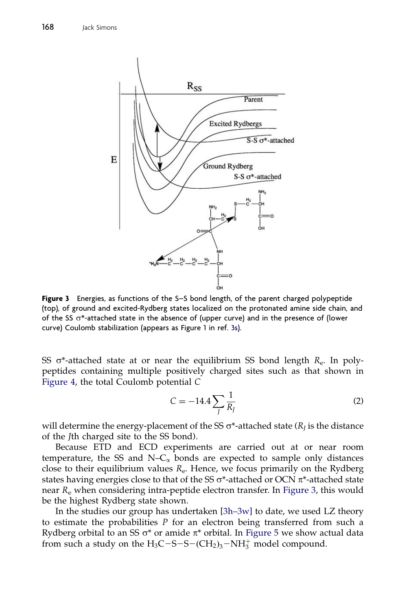<span id="page-5-0"></span>

Figure 3 Energies, as functions of the S-S bond length, of the parent charged polypeptide (top), of ground and excited-Rydberg states localized on the protonated amine side chain, and of the SS  $\sigma^*$ -attached state in the absence of (upper curve) and in the presence of (lower curve) Coulomb stabilization (appears as Figure 1 in ref. 3s).

SS  $\sigma^*$ -attached state at or near the equilibrium SS bond length  $R_e$ . In polypeptides containing multiple positively charged sites such as that shown in [Figure 4](#page-6-0), the total Coulomb potential C

$$
C = -14.4 \sum_{J} \frac{1}{R_{J}}
$$
 (2)

will determine the energy-placement of the SS  $\sigma^*$ -attached state ( $R_I$  is the distance of the Jth charged site to the SS bond).

Because ETD and ECD experiments are carried out at or near room temperature, the SS and N–C<sub> $\alpha$ </sub> bonds are expected to sample only distances close to their equilibrium values  $R_e$ . Hence, we focus primarily on the Rydberg states having energies close to that of the SS  $\sigma^*$ -attached or OCN  $\pi^*$ -attached state near  $R_e$  when considering intra-peptide electron transfer. In Figure 3, this would be the highest Rydberg state shown.

In the studies our group has undertaken [3h–3w] to date, we used LZ theory to estimate the probabilities  $P$  for an electron being transferred from such a Rydberg orbital to an SS  $\sigma^*$  or amide  $\pi^*$  orbital. In [Figure 5](#page-7-0) we show actual data from such a study on the  $H_3C-S-S-(CH_2)_3-NH_3^+$  model compound.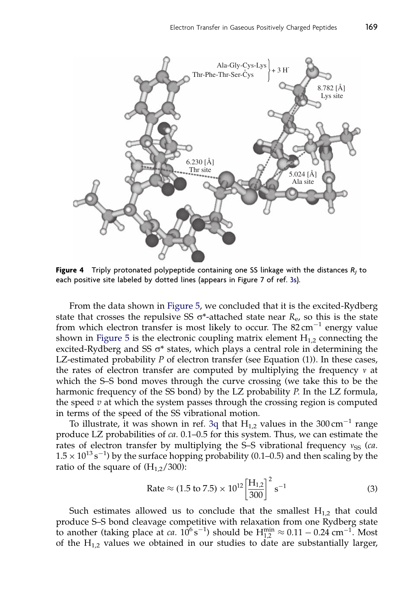<span id="page-6-0"></span>

Figure 4 Triply protonated polypeptide containing one SS linkage with the distances  $R_j$  to each positive site labeled by dotted lines (appears in Figure 7 of ref. 3s).

From the data shown in [Figure 5](#page-7-0), we concluded that it is the excited-Rydberg state that crosses the repulsive SS  $\sigma^*$ -attached state near  $R_e$ , so this is the state from which electron transfer is most likely to occur. The  $82 \text{ cm}^{-1}$  energy value shown in [Figure 5](#page-7-0) is the electronic coupling matrix element  $H_{1,2}$  connecting the excited-Rydberg and SS  $\sigma^*$  states, which plays a central role in determining the LZ-estimated probability P of electron transfer (see Equation (1)). In these cases, the rates of electron transfer are computed by multiplying the frequency  $v$  at which the S–S bond moves through the curve crossing (we take this to be the harmonic frequency of the SS bond) by the LZ probability P. In the LZ formula, the speed  $v$  at which the system passes through the crossing region is computed in terms of the speed of the SS vibrational motion.

To illustrate, it was shown in ref. 3q that  $H_{1,2}$  values in the 300 cm<sup>-1</sup> range produce LZ probabilities of ca. 0.1–0.5 for this system. Thus, we can estimate the rates of electron transfer by multiplying the S–S vibrational frequency  $v_{SS}$  (ca.  $1.5 \times 10^{13} \text{ s}^{-1}$ ) by the surface hopping probability (0.1–0.5) and then scaling by the ratio of the square of  $(H<sub>1,2</sub>/300)$ :

Rate 
$$
\approx
$$
 (1.5 to 7.5)  $\times$  10<sup>12</sup>  $\left[\frac{H_{1,2}}{300}\right]^2$  s<sup>-1</sup> (3)

Such estimates allowed us to conclude that the smallest  $H_{1,2}$  that could produce S–S bond cleavage competitive with relaxation from one Rydberg state to another (taking place at *ca*.  $10^6 s^{-1}$ ) should be  $H_{1,2}^{min} \approx 0.11 - 0.24$  cm<sup>-1</sup>. Most of the  $H_{1,2}$  values we obtained in our studies to date are substantially larger,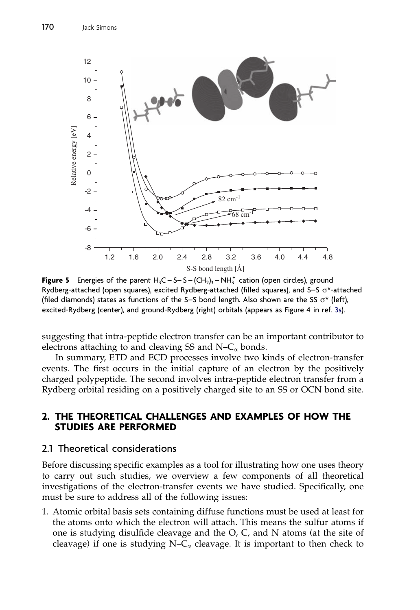<span id="page-7-0"></span>

**Figure 5** Energies of the parent  $H_3C - S - S - (CH_2)_3 - NH_3^*$  cation (open circles), ground Rydberg-attached (open squares), excited Rydberg-attached (filled squares), and S–S  $\sigma^*$ -attached (filed diamonds) states as functions of the S–S bond length. Also shown are the SS  $\sigma^*$  (left), excited-Rydberg (center), and ground-Rydberg (right) orbitals (appears as Figure 4 in ref. 3s).

suggesting that intra-peptide electron transfer can be an important contributor to electrons attaching to and cleaving SS and  $N-C_{\alpha}$  bonds.

In summary, ETD and ECD processes involve two kinds of electron-transfer events. The first occurs in the initial capture of an electron by the positively charged polypeptide. The second involves intra-peptide electron transfer from a Rydberg orbital residing on a positively charged site to an SS or OCN bond site.

#### 2. THE THEORETICAL CHALLENGES AND EXAMPLES OF HOW THE STUDIES ARE PERFORMED

#### 2.1 Theoretical considerations

Before discussing specific examples as a tool for illustrating how one uses theory to carry out such studies, we overview a few components of all theoretical investigations of the electron-transfer events we have studied. Specifically, one must be sure to address all of the following issues:

1. Atomic orbital basis sets containing diffuse functions must be used at least for the atoms onto which the electron will attach. This means the sulfur atoms if one is studying disulfide cleavage and the O, C, and N atoms (at the site of cleavage) if one is studying N– $C_{\alpha}$  cleavage. It is important to then check to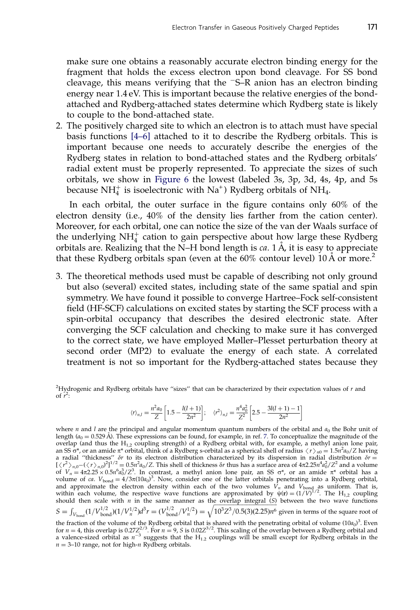make sure one obtains a reasonably accurate electron binding energy for the fragment that holds the excess electron upon bond cleavage. For SS bond cleavage, this means verifying that the  $\overline{\phantom{a}}$ S–R anion has an electron binding energy near 1.4 eV. This is important because the relative energies of the bondattached and Rydberg-attached states determine which Rydberg state is likely to couple to the bond-attached state.

2. The positively charged site to which an electron is to attach must have special basis functions [\[4–6\]](#page-20-0) attached to it to describe the Rydberg orbitals. This is important because one needs to accurately describe the energies of the Rydberg states in relation to bond-attached states and the Rydberg orbitals' radial extent must be properly represented. To appreciate the sizes of such orbitals, we show in [Figure 6](#page-9-0) the lowest (labeled 3s, 3p, 3d, 4s, 4p, and 5s because  $NH_4^+$  is isoelectronic with  $Na^+$ ) Rydberg orbitals of NH<sub>4</sub>.

In each orbital, the outer surface in the figure contains only 60% of the electron density (i.e., 40% of the density lies farther from the cation center). Moreover, for each orbital, one can notice the size of the van der Waals surface of the underlying  $NH_4^+$  cation to gain perspective about how large these Rydberg orbitals are. Realizing that the N–H bond length is *ca*. 1  $\dot{A}$ , it is easy to appreciate that these Rydberg orbitals span (even at the  $60\%$  contour level)  $10 \text{ Å}$  or more.<sup>2</sup>

3. The theoretical methods used must be capable of describing not only ground but also (several) excited states, including state of the same spatial and spin symmetry. We have found it possible to converge Hartree–Fock self-consistent field (HF-SCF) calculations on excited states by starting the SCF process with a spin-orbital occupancy that describes the desired electronic state. After converging the SCF calculation and checking to make sure it has converged to the correct state, we have employed Møller–Plesset perturbation theory at second order (MP2) to evaluate the energy of each state. A correlated treatment is not so important for the Rydberg-attached states because they

<sup>2</sup>Hydrogenic and Rydberg orbitals have "sizes" that can be characterized by their expectation values of r and of  $r^2$ :

$$
\langle r \rangle_{n,l} = \frac{n^2 a_0}{Z} \left[ 1.5 - \frac{l(l+1)}{2n^2} \right]; \quad \langle r^2 \rangle_{n,l} = \frac{n^4 a_0^2}{Z^2} \left[ 2.5 - \frac{3l(l+1) - 1}{2n^2} \right]
$$

where  $n$  and  $l$  are the principal and angular momentum quantum numbers of the orbital and  $a_0$  the Bohr unit of length ( $a_0 = 0.529$  Å). These expressions can be found, for example, in ref. [7.](#page-20-0) To conceptualize the magnitude of the overlap (and thus the  $H_{1,2}$  coupling strength) of a Rydberg orbital with, for example, a methyl ani an SS  $\sigma^*$ , or an amide  $\pi^*$  orbital, think of a Rydberg s-orbital as a spherical shell of radius  $\langle r \rangle_{n0} = 1.5n^2 a_0/Z$  having<br>a radial "thickness"  $\delta r$  to its electron distribution characterized by its dispersion  $[\langle r^2 \rangle_{n,0} - (\langle r \rangle_{n,0})^2]^{1/2} = 0.5n^2 a_0/Z$ . This shell of thickness  $\delta r$  thus has a surface area of  $4\pi 2.25n^4 a_0^2/Z^2$  and a volume of  $V_n = 4\pi 2.25 \times 0.5n^6 a_0^3/Z^3$ . In contrast, a methyl anion lone pair, an SS  $S = \int_{V_{\rm bond}} (1/V_{\rm bond}^{1/2}) (1/V_n^{1/2}) d^3r = (V_{\rm bond}^{1/2}/V_n^{1/2}) = \sqrt{10^3 Z^3/0.5(3)(2.25)n^6}$  given in terms of the square root of

the fraction of the volume of the Rydberg orbital that is shared with the penetrating orbital of volume  $(10a_0)^3$ . Even<br>for  $n = 4$ , this overlap is  $0.27Z^{2/3}$ . For  $n = 9$ , S is  $0.02Z^{3/2}$ . This scaling of the overlap  $n = 3-10$  range, not for high-n Rydberg orbitals.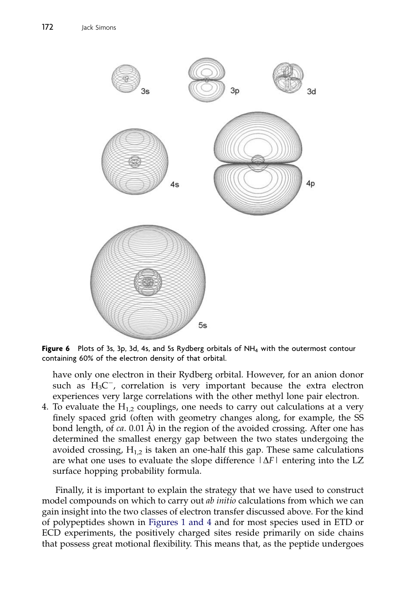<span id="page-9-0"></span>

Figure 6 Plots of 3s, 3p, 3d, 4s, and 5s Rydberg orbitals of NH<sub>4</sub> with the outermost contour containing 60% of the electron density of that orbital.

have only one electron in their Rydberg orbital. However, for an anion donor such as  $H_3C^-$ , correlation is very important because the extra electron experiences very large correlations with the other methyl lone pair electron.

4. To evaluate the  $H_{1,2}$  couplings, one needs to carry out calculations at a very finely spaced grid (often with geometry changes along, for example, the SS bond length, of  $ca$ . 0.01 A $\overline{A}$  in the region of the avoided crossing. After one has determined the smallest energy gap between the two states undergoing the avoided crossing,  $H_{1,2}$  is taken an one-half this gap. These same calculations are what one uses to evaluate the slope difference  $|\Delta F|$  entering into the LZ surface hopping probability formula.

Finally, it is important to explain the strategy that we have used to construct model compounds on which to carry out *ab initio* calculations from which we can gain insight into the two classes of electron transfer discussed above. For the kind of polypeptides shown in [Figures 1 and 4](#page-1-0) and for most species used in ETD or ECD experiments, the positively charged sites reside primarily on side chains that possess great motional flexibility. This means that, as the peptide undergoes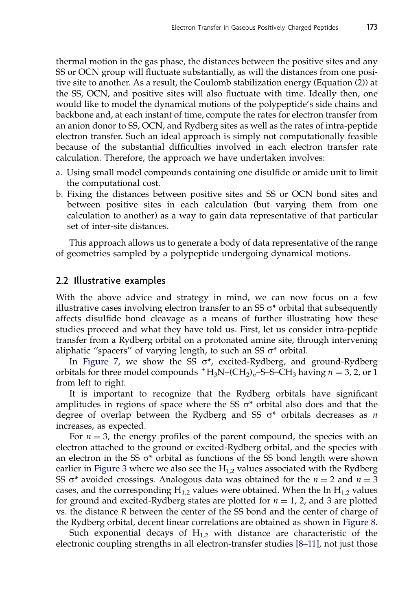thermal motion in the gas phase, the distances between the positive sites and any SS or OCN group will fluctuate substantially, as will the distances from one positive site to another. As a result, the Coulomb stabilization energy (Equation (2)) at the SS, OCN, and positive sites will also fluctuate with time. Ideally then, one would like to model the dynamical motions of the polypeptide's side chains and backbone and, at each instant of time, compute the rates for electron transfer from an anion donor to SS, OCN, and Rydberg sites as well as the rates of intra-peptide electron transfer. Such an ideal approach is simply not computationally feasible because of the substantial difficulties involved in each electron transfer rate calculation. Therefore, the approach we have undertaken involves:

- a. Using small model compounds containing one disulfide or amide unit to limit the computational cost.
- b. Fixing the distances between positive sites and SS or OCN bond sites and between positive sites in each calculation (but varying them from one calculation to another) as a way to gain data representative of that particular set of inter-site distances.

This approach allows us to generate a body of data representative of the range of geometries sampled by a polypeptide undergoing dynamical motions.

#### 2.2 Illustrative examples

With the above advice and strategy in mind, we can now focus on a few illustrative cases involving electron transfer to an SS  $\sigma^*$  orbital that subsequently affects disulfide bond cleavage as a means of further illustrating how these studies proceed and what they have told us. First, let us consider intra-peptide transfer from a Rydberg orbital on a protonated amine site, through intervening aliphatic "spacers" of varying length, to such an SS  $\sigma^*$  orbital.

In [Figure 7](#page-11-0), we show the SS  $\sigma^*$ , excited-Rydberg, and ground-Rydberg orbitals for three model compounds  $^+H_3N-(CH_2)_n$ –S–S–CH<sub>3</sub> having  $n = 3, 2,$  or 1 from left to right.

It is important to recognize that the Rydberg orbitals have significant amplitudes in regions of space where the SS  $\sigma^*$  orbital also does and that the degree of overlap between the Rydberg and SS  $\sigma^*$  orbitals decreases as n increases, as expected.

For  $n = 3$ , the energy profiles of the parent compound, the species with an electron attached to the ground or excited-Rydberg orbital, and the species with an electron in the SS  $\sigma^*$  orbital as functions of the SS bond length were shown earlier in [Figure 3](#page-5-0) where we also see the  $H<sub>1,2</sub>$  values associated with the Rydberg SS  $\sigma^*$  avoided crossings. Analogous data was obtained for the  $n = 2$  and  $n = 3$ cases, and the corresponding  $H_{1,2}$  values were obtained. When the ln  $H_{1,2}$  values for ground and excited-Rydberg states are plotted for  $n = 1$ , 2, and 3 are plotted vs. the distance R between the center of the SS bond and the center of charge of the Rydberg orbital, decent linear correlations are obtained as shown in [Figure 8](#page-11-0).

Such exponential decays of  $H_{1,2}$  with distance are characteristic of the electronic coupling strengths in all electron-transfer studies [\[8–11\]](#page-20-0), not just those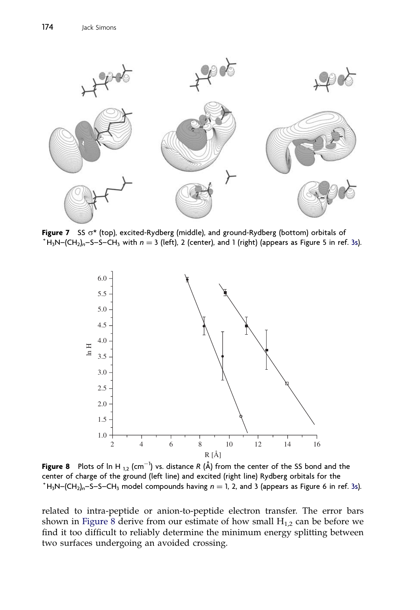<span id="page-11-0"></span>

Figure 7 SS  $\sigma^*$  (top), excited-Rydberg (middle), and ground-Rydberg (bottom) orbitals of  $^+$ H<sub>3</sub>N–(CH<sub>2</sub>)<sub>n</sub>–S–S–CH<sub>3</sub> with  $n = 3$  (left), 2 (center), and 1 (right) (appears as Figure 5 in ref. 3s).



**Figure 8** Plots of ln H  $_{1,2}$  (cm $^{-1}$ ) vs. distance R (Å) from the center of the SS bond and the center of charge of the ground (left line) and excited (right line) Rydberg orbitals for the  $^+$ H<sub>3</sub>N–(CH<sub>2)n</sub>–S–S–CH<sub>3</sub> model compounds having  $n = 1$ , 2, and 3 (appears as Figure 6 in ref. 3s).

related to intra-peptide or anion-to-peptide electron transfer. The error bars shown in Figure 8 derive from our estimate of how small  $H_{1,2}$  can be before we find it too difficult to reliably determine the minimum energy splitting between two surfaces undergoing an avoided crossing.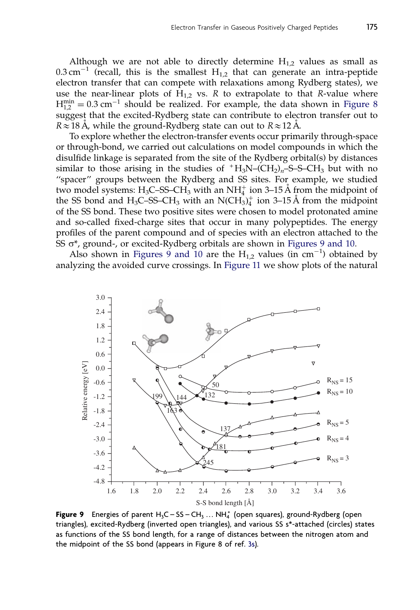<span id="page-12-0"></span>Although we are not able to directly determine  $H_{1,2}$  values as small as  $0.3 \text{ cm}^{-1}$  (recall, this is the smallest H<sub>1,2</sub> that can generate an intra-peptide electron transfer that can compete with relaxations among Rydberg states), we use the near-linear plots of  $H_{1,2}$  vs. R to extrapolate to that R-value where  $H_{1,2}^{min} = 0.3$  cm<sup>-1</sup> should be realized. For example, the data shown in [Figure 8](#page-11-0) suggest that the excited-Rydberg state can contribute to electron transfer out to  $R \approx 18$  Å, while the ground-Rydberg state can out to  $R \approx 12$  Å.

To explore whether the electron-transfer events occur primarily through-space or through-bond, we carried out calculations on model compounds in which the disulfide linkage is separated from the site of the Rydberg orbital(s) by distances similar to those arising in the studies of  $H_3N-(CH_2)_n$ –S–S–CH<sub>3</sub> but with no ''spacer'' groups between the Rydberg and SS sites. For example, we studied two model systems: H<sub>3</sub>C–SS–CH<sub>3</sub> with an NH<sup>+</sup><sub>4</sub> ion 3–15 Å from the midpoint of the SS bond and H<sub>3</sub>C–SS–CH<sub>3</sub> with an N(CH<sub>3</sub>)<sup> $+$ </sup> ion 3–15 Å from the midpoint of the SS bond. These two positive sites were chosen to model protonated amine and so-called fixed-charge sites that occur in many polypeptides. The energy profiles of the parent compound and of species with an electron attached to the SS  $\sigma^*$ , ground-, or excited-Rydberg orbitals are shown in Figures 9 and 10.

Also shown in Figures 9 and 10 are the  $H_{1,2}$  values (in cm<sup>-1</sup>) obtained by analyzing the avoided curve crossings. In [Figure 11](#page-14-0) we show plots of the natural



**Figure 9** Energies of parent  $H_3C - SS - CH_3 \ldots NH_4^+$  (open squares), ground-Rydberg (open triangles), excited-Rydberg (inverted open triangles), and various SS s\*-attached (circles) states as functions of the SS bond length, for a range of distances between the nitrogen atom and the midpoint of the SS bond (appears in Figure 8 of ref. 3s).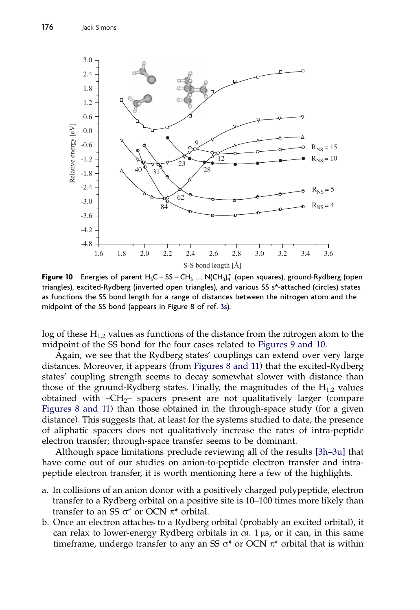

**Figure 10** Energies of parent H<sub>3</sub>C – SS – CH<sub>3</sub> ... N(CH<sub>3</sub>)<sub>4</sub>' (open squares), ground-Rydberg (open triangles), excited-Rydberg (inverted open triangles), and various SS s\*-attached (circles) states as functions the SS bond length for a range of distances between the nitrogen atom and the midpoint of the SS bond (appears in Figure 8 of ref. 3s).

log of these  $H_{1,2}$  values as functions of the distance from the nitrogen atom to the midpoint of the SS bond for the four cases related to [Figures 9 and 10.](#page-12-0)

Again, we see that the Rydberg states' couplings can extend over very large distances. Moreover, it appears (from [Figures 8 and 11\)](#page-11-0) that the excited-Rydberg states' coupling strength seems to decay somewhat slower with distance than those of the ground-Rydberg states. Finally, the magnitudes of the  $H_{1,2}$  values obtained with  $-CH_{2}$ - spacers present are not qualitatively larger (compare [Figures 8 and 11\)](#page-11-0) than those obtained in the through-space study (for a given distance). This suggests that, at least for the systems studied to date, the presence of aliphatic spacers does not qualitatively increase the rates of intra-peptide electron transfer; through-space transfer seems to be dominant.

Although space limitations preclude reviewing all of the results [3h–3u] that have come out of our studies on anion-to-peptide electron transfer and intrapeptide electron transfer, it is worth mentioning here a few of the highlights.

- a. In collisions of an anion donor with a positively charged polypeptide, electron transfer to a Rydberg orbital on a positive site is 10–100 times more likely than transfer to an SS  $\sigma^*$  or OCN  $\pi^*$  orbital.
- b. Once an electron attaches to a Rydberg orbital (probably an excited orbital), it can relax to lower-energy Rydberg orbitals in  $ca$ . 1  $\mu$ s, or it can, in this same timeframe, undergo transfer to any an SS  $\sigma^*$  or OCN  $\pi^*$  orbital that is within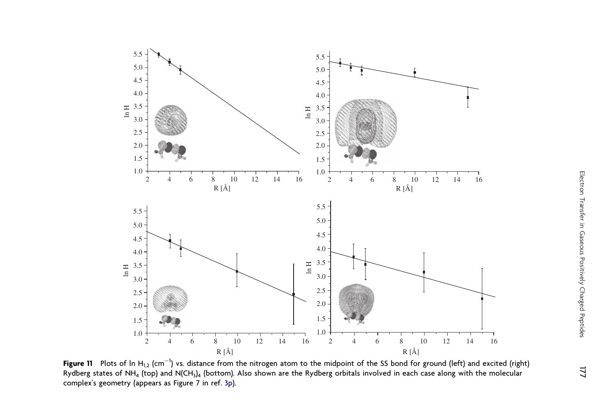<span id="page-14-0"></span>

Figure 11 Plots of ln H<sub>12</sub> (cm<sup>-1</sup>) vs. distance from the nitrogen atom to the midpoint of the SS bond for ground (left) and excited (right) Rydberg states of NH<sub>4</sub> (top) and N(CH<sub>3</sub>)<sub>4</sub> (bottom). Also shown are the Rydberg orbitals involved in each case along with the molecular complex's geometry (appears as Figure <sup>7</sup> in ref. 3p).

 $\overline{z}$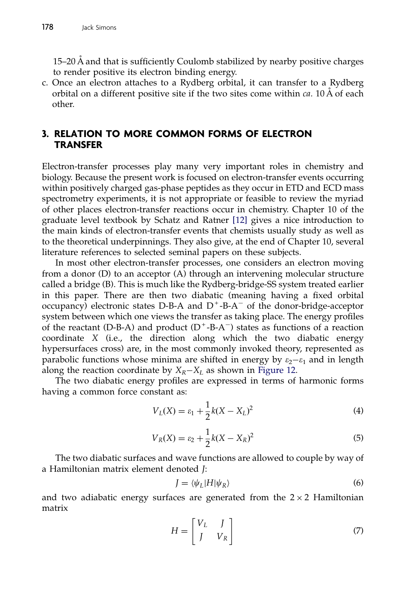15–20  $\AA$  and that is sufficiently Coulomb stabilized by nearby positive charges to render positive its electron binding energy.

c. Once an electron attaches to a Rydberg orbital, it can transfer to a Rydberg orbital on a different positive site if the two sites come within  $ca$ . 10 Å of each other.

#### 3. RELATION TO MORE COMMON FORMS OF ELECTRON **TRANSFER**

Electron-transfer processes play many very important roles in chemistry and biology. Because the present work is focused on electron-transfer events occurring within positively charged gas-phase peptides as they occur in ETD and ECD mass spectrometry experiments, it is not appropriate or feasible to review the myriad of other places electron-transfer reactions occur in chemistry. Chapter 10 of the graduate level textbook by Schatz and Ratner [\[12\]](#page-20-0) gives a nice introduction to the main kinds of electron-transfer events that chemists usually study as well as to the theoretical underpinnings. They also give, at the end of Chapter 10, several literature references to selected seminal papers on these subjects.

In most other electron-transfer processes, one considers an electron moving from a donor (D) to an acceptor  $(A)$  through an intervening molecular structure called a bridge (B). This is much like the Rydberg-bridge-SS system treated earlier in this paper. There are then two diabatic (meaning having a fixed orbital occupancy) electronic states D-B-A and  $D^+$ -B-A<sup>-</sup> of the donor-bridge-acceptor system between which one views the transfer as taking place. The energy profiles of the reactant (D-B-A) and product  $(D^+ - B - A^-)$  states as functions of a reaction coordinate X (i.e., the direction along which the two diabatic energy hypersurfaces cross) are, in the most commonly invoked theory, represented as parabolic functions whose minima are shifted in energy by  $\varepsilon_2-\varepsilon_1$  and in length along the reaction coordinate by  $X_R - X_L$  as shown in [Figure 12.](#page-16-0)

The two diabatic energy profiles are expressed in terms of harmonic forms having a common force constant as:

$$
V_L(X) = \varepsilon_1 + \frac{1}{2}k(X - X_L)^2
$$
 (4)

$$
V_R(X) = \varepsilon_2 + \frac{1}{2}k(X - X_R)^2
$$
\n(5)

The two diabatic surfaces and wave functions are allowed to couple by way of a Hamiltonian matrix element denoted J:

$$
J = \langle \psi_L | H | \psi_R \rangle \tag{6}
$$

and two adiabatic energy surfaces are generated from the  $2 \times 2$  Hamiltonian matrix

$$
H = \begin{bmatrix} V_L & J \\ J & V_R \end{bmatrix} \tag{7}
$$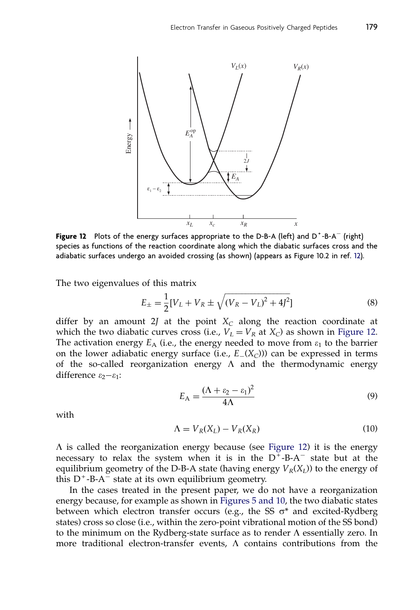<span id="page-16-0"></span>

Figure 12 Plots of the energy surfaces appropriate to the D-B-A (left) and D<sup>+</sup>-B-A $^{-}$  (right) species as functions of the reaction coordinate along which the diabatic surfaces cross and the adiabatic surfaces undergo an avoided crossing (as shown) (appears as Figure 10.2 in ref. [12](#page-20-0)).

The two eigenvalues of this matrix

$$
E_{\pm} = \frac{1}{2} [V_L + V_R \pm \sqrt{(V_R - V_L)^2 + 4J^2}]
$$
 (8)

differ by an amount 2J at the point  $X_C$  along the reaction coordinate at which the two diabatic curves cross (i.e.,  $V_L = V_R$  at  $X_C$ ) as shown in Figure 12. The activation energy  $E_A$  (i.e., the energy needed to move from  $\varepsilon_1$  to the barrier on the lower adiabatic energy surface (i.e.,  $E_{-}(X_{C})$ )) can be expressed in terms of the so-called reorganization energy  $\Lambda$  and the thermodynamic energy difference  $\varepsilon_2-\varepsilon_1$ :

$$
E_{\rm A} = \frac{(\Lambda + \varepsilon_2 - \varepsilon_1)^2}{4\Lambda} \tag{9}
$$

with

$$
\Lambda = V_R(X_L) - V_R(X_R) \tag{10}
$$

 $\Lambda$  is called the reorganization energy because (see Figure 12) it is the energy necessary to relax the system when it is in the  $D^+$ -B-A<sup>-</sup> state but at the equilibrium geometry of the D-B-A state (having energy  $V_R(X_L)$ ) to the energy of this  $D^+$ -B-A<sup>-</sup> state at its own equilibrium geometry.

In the cases treated in the present paper, we do not have a reorganization energy because, for example as shown in [Figures 5 and 10](#page-7-0), the two diabatic states between which electron transfer occurs (e.g., the SS  $\sigma^*$  and excited-Rydberg states) cross so close (i.e., within the zero-point vibrational motion of the SS bond) to the minimum on the Rydberg-state surface as to render  $\Lambda$  essentially zero. In more traditional electron-transfer events,  $\Lambda$  contains contributions from the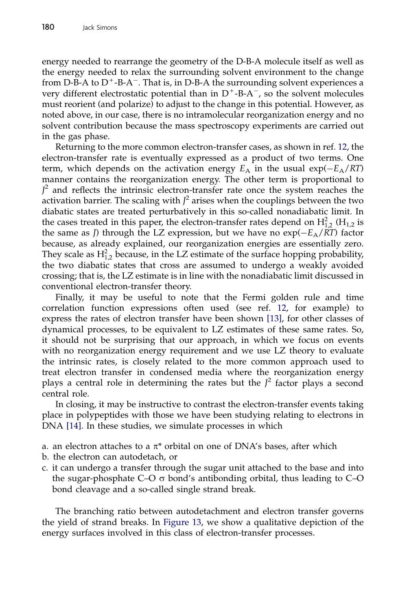energy needed to rearrange the geometry of the D-B-A molecule itself as well as the energy needed to relax the surrounding solvent environment to the change from D-B-A to  $D^+$ -B-A<sup>-</sup>. That is, in D-B-A the surrounding solvent experiences a very different electrostatic potential than in  $D^+$ -B-A<sup>-</sup>, so the solvent molecules must reorient (and polarize) to adjust to the change in this potential. However, as noted above, in our case, there is no intramolecular reorganization energy and no solvent contribution because the mass spectroscopy experiments are carried out in the gas phase.

Returning to the more common electron-transfer cases, as shown in ref. [12](#page-20-0), the electron-transfer rate is eventually expressed as a product of two terms. One term, which depends on the activation energy  $E_A$  in the usual  $exp(-E_A/RT)$ manner contains the reorganization energy. The other term is proportional to  $J^2$  and reflects the intrinsic electron-transfer rate once the system reaches the activation barrier. The scaling with  $J^2$  arises when the couplings between the two diabatic states are treated perturbatively in this so-called nonadiabatic limit. In the cases treated in this paper, the electron-transfer rates depend on  $H_{1,2}^2$  ( $H_{1,2}$  is the same as *J*) through the LZ expression, but we have no  $\exp(-E_A/\tilde{RT})$  factor because, as already explained, our reorganization energies are essentially zero. They scale as  $H_{1,2}^2$  because, in the LZ estimate of the surface hopping probability, the two diabatic states that cross are assumed to undergo a weakly avoided crossing; that is, the LZ estimate is in line with the nonadiabatic limit discussed in conventional electron-transfer theory.

Finally, it may be useful to note that the Fermi golden rule and time correlation function expressions often used (see ref. [12,](#page-20-0) for example) to express the rates of electron transfer have been shown [\[13\],](#page-20-0) for other classes of dynamical processes, to be equivalent to LZ estimates of these same rates. So, it should not be surprising that our approach, in which we focus on events with no reorganization energy requirement and we use LZ theory to evaluate the intrinsic rates, is closely related to the more common approach used to treat electron transfer in condensed media where the reorganization energy plays a central role in determining the rates but the  $J^2$  factor plays a second central role.

In closing, it may be instructive to contrast the electron-transfer events taking place in polypeptides with those we have been studying relating to electrons in DNA [\[14\]](#page-20-0). In these studies, we simulate processes in which

- a. an electron attaches to a  $\pi^*$  orbital on one of DNA's bases, after which
- b. the electron can autodetach, or
- c. it can undergo a transfer through the sugar unit attached to the base and into the sugar-phosphate  $C-O \sigma$  bond's antibonding orbital, thus leading to  $C-O$ bond cleavage and a so-called single strand break.

The branching ratio between autodetachment and electron transfer governs the yield of strand breaks. In [Figure 13,](#page-18-0) we show a qualitative depiction of the energy surfaces involved in this class of electron-transfer processes.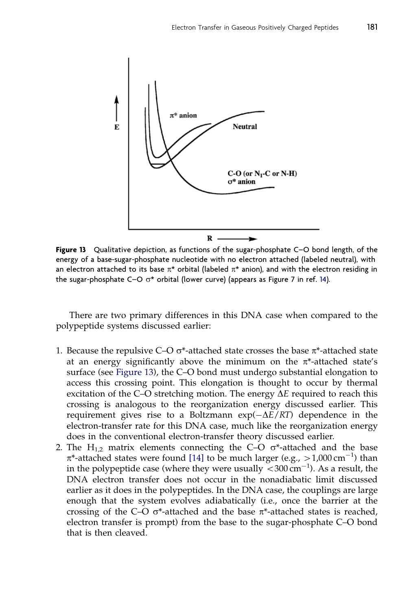<span id="page-18-0"></span>

Figure 13 Qualitative depiction, as functions of the sugar-phosphate C-O bond length, of the energy of a base-sugar-phosphate nucleotide with no electron attached (labeled neutral), with an electron attached to its base  $\pi^*$  orbital (labeled  $\pi^*$  anion), and with the electron residing in the sugar-phosphate C–O  $\sigma^*$  orbital (lower curve) (appears as Figure 7 in ref. [14](#page-20-0)).

There are two primary differences in this DNA case when compared to the polypeptide systems discussed earlier:

- 1. Because the repulsive C–O  $\sigma^*$ -attached state crosses the base  $\pi^*$ -attached state at an energy significantly above the minimum on the  $\pi^*$ -attached state's surface (see Figure 13), the C–O bond must undergo substantial elongation to access this crossing point. This elongation is thought to occur by thermal excitation of the C–O stretching motion. The energy  $\Delta E$  required to reach this crossing is analogous to the reorganization energy discussed earlier. This requirement gives rise to a Boltzmann  $exp(-\Delta E/RT)$  dependence in the electron-transfer rate for this DNA case, much like the reorganization energy does in the conventional electron-transfer theory discussed earlier.
- 2. The  $H_{12}$  matrix elements connecting the C–O  $\sigma^*$ -attached and the base  $\pi^*$ -attached states were found [\[14\]](#page-20-0) to be much larger (e.g., >1,000 cm<sup>-1</sup>) than in the polypeptide case (where they were usually  $\lt 300 \,\text{cm}^{-1}$ ). As a result, the DNA electron transfer does not occur in the nonadiabatic limit discussed earlier as it does in the polypeptides. In the DNA case, the couplings are large enough that the system evolves adiabatically (i.e., once the barrier at the crossing of the C–O  $\sigma^*$ -attached and the base  $\pi^*$ -attached states is reached, electron transfer is prompt) from the base to the sugar-phosphate C–O bond that is then cleaved.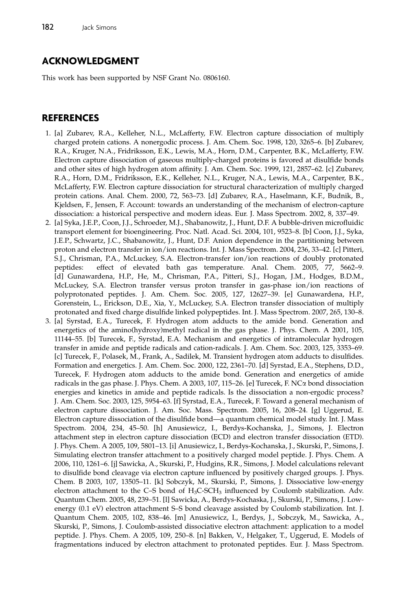### <span id="page-19-0"></span>ACKNOWLEDGMENT

This work has been supported by NSF Grant No. 0806160.

#### **REFERENCES**

- 1. [a] Zubarev, R.A., Kelleher, N.L., McLafferty, F.W. Electron capture dissociation of multiply charged protein cations. A nonergodic process. J. Am. Chem. Soc. 1998, 120, 3265–6. [b] Zubarev, R.A., Kruger, N.A., Fridriksson, E.K., Lewis, M.A., Horn, D.M., Carpenter, B.K., McLafferty, F.W. Electron capture dissociation of gaseous multiply-charged proteins is favored at disulfide bonds and other sites of high hydrogen atom affinity. J. Am. Chem. Soc. 1999, 121, 2857–62. [c] Zubarev, R.A., Horn, D.M., Fridriksson, E.K., Kelleher, N.L., Kruger, N.A., Lewis, M.A., Carpenter, B.K., McLafferty, F.W. Electron capture dissociation for structural characterization of multiply charged protein cations. Anal. Chem. 2000, 72, 563–73. [d] Zubarev, R.A., Haselmann, K.F., Budnik, B., Kjeldsen, F., Jensen, F. Account: towards an understanding of the mechanism of electron-capture dissociation: a historical perspective and modern ideas. Eur. J. Mass Spectrom. 2002, 8, 337–49.
- 2. [a] Syka, J.E.P., Coon, J.J., Schroeder, M.J., Shabanowitz, J., Hunt, D.F. A bubble-driven microfluidic transport element for bioengineering. Proc. Natl. Acad. Sci. 2004, 101, 9523–8. [b] Coon, J.J., Syka, J.E.P., Schwartz, J.C., Shabanowitz, J., Hunt, D.F. Anion dependence in the partitioning between proton and electron transfer in ion/ion reactions. Int. J. Mass Spectrom. 2004, 236, 33–42. [c] Pitteri, S.J., Chrisman, P.A., McLuckey, S.A. Electron-transfer ion/ion reactions of doubly protonated peptides: effect of elevated bath gas temperature. Anal. Chem. 2005, 77, 5662–9. [d] Gunawardena, H.P., He, M., Chrisman, P.A., Pitteri, S.J., Hogan, J.M., Hodges, B.D.M., McLuckey, S.A. Electron transfer versus proton transfer in gas-phase ion/ion reactions of polyprotonated peptides. J. Am. Chem. Soc. 2005, 127, 12627–39. [e] Gunawardena, H.P., Gorenstein, L., Erickson, D.E., Xia, Y., McLuckey, S.A. Electron transfer dissociation of multiply protonated and fixed charge disulfide linked polypeptides. Int. J. Mass Spectrom. 2007, 265, 130–8.
- 3. [a] Syrstad, E.A., Turecek, F. Hydrogen atom adducts to the amide bond. Generation and energetics of the amino(hydroxy)methyl radical in the gas phase. J. Phys. Chem. A 2001, 105, 11144–55. [b] Turecek, F., Syrstad, E.A. Mechanism and energetics of intramolecular hydrogen transfer in amide and peptide radicals and cation-radicals. J. Am. Chem. Soc. 2003, 125, 3353–69. [c] Turecek, F., Polasek, M., Frank, A., Sadilek, M. Transient hydrogen atom adducts to disulfides. Formation and energetics. J. Am. Chem. Soc. 2000, 122, 2361–70. [d] Syrstad, E.A., Stephens, D.D., Turecek, F. Hydrogen atom adducts to the amide bond. Generation and energetics of amide radicals in the gas phase. J. Phys. Chem. A 2003, 107, 115–26. [e] Turecek, F. NC $\alpha$  bond dissociation energies and kinetics in amide and peptide radicals. Is the dissociation a non-ergodic process? J. Am. Chem. Soc. 2003, 125, 5954–63. [f] Syrstad, E.A., Turecek, F. Toward a general mechanism of electron capture dissociation. J. Am. Soc. Mass. Spectrom. 2005, 16, 208–24. [g] Uggerud, E. Electron capture dissociation of the disulfide bond—a quantum chemical model study. Int. J. Mass Spectrom. 2004, 234, 45–50. [h] Anusiewicz, I., Berdys-Kochanska, J., Simons, J. Electron attachment step in electron capture dissociation (ECD) and electron transfer dissociation (ETD). J. Phys. Chem. A 2005, 109, 5801–13. [i] Anusiewicz, I., Berdys-Kochanska, J., Skurski, P., Simons, J. Simulating electron transfer attachment to a positively charged model peptide. J. Phys. Chem. A 2006, 110, 1261–6. [j] Sawicka, A., Skurski, P., Hudgins, R.R., Simons, J. Model calculations relevant to disulfide bond cleavage via electron capture influenced by positively charged groups. J. Phys. Chem. B 2003, 107, 13505–11. [k] Sobczyk, M., Skurski, P., Simons, J. Dissociative low-energy electron attachment to the C–S bond of H3C-SCH3 influenced by Coulomb stabilization. Adv. Quantum Chem. 2005, 48, 239–51. [l] Sawicka, A., Berdys-Kochaska, J., Skurski, P., Simons, J. Lowenergy (0.1 eV) electron attachment S–S bond cleavage assisted by Coulomb stabilization. Int. J. Quantum Chem. 2005, 102, 838–46. [m] Anusiewicz, I., Berdys, J., Sobczyk, M., Sawicka, A., Skurski, P., Simons, J. Coulomb-assisted dissociative electron attachment: application to a model peptide. J. Phys. Chem. A 2005, 109, 250–8. [n] Bakken, V., Helgaker, T., Uggerud, E. Models of fragmentations induced by electron attachment to protonated peptides. Eur. J. Mass Spectrom.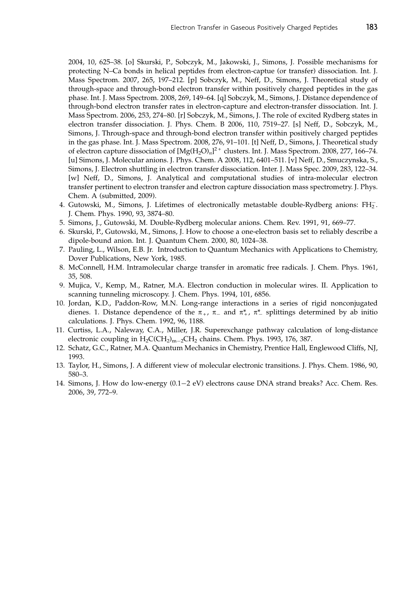<span id="page-20-0"></span>2004, 10, 625–38. [o] Skurski, P., Sobczyk, M., Jakowski, J., Simons, J. Possible mechanisms for protecting N–Ca bonds in helical peptides from electron-captue (or transfer) dissociation. Int. J. Mass Spectrom. 2007, 265, 197–212. [p] Sobczyk, M., Neff, D., Simons, J. Theoretical study of through-space and through-bond electron transfer within positively charged peptides in the gas phase. Int. J. Mass Spectrom. 2008, 269, 149–64. [q] Sobczyk, M., Simons, J. Distance dependence of through-bond electron transfer rates in electron-capture and electron-transfer dissociation. Int. J. Mass Spectrom. 2006, 253, 274–80. [r] Sobczyk, M., Simons, J. The role of excited Rydberg states in electron transfer dissociation. J. Phys. Chem. B 2006, 110, 7519–27. [s] Neff, D., Sobczyk, M., Simons, J. Through-space and through-bond electron transfer within positively charged peptides in the gas phase. Int. J. Mass Spectrom. 2008, 276, 91–101. [t] Neff, D., Simons, J. Theoretical study of electron capture dissociation of  $[Mg(H_2O)_n]^2$ <sup>+</sup> clusters. Int. J. Mass Spectrom. 2008, 277, 166–74. [u] Simons, J. Molecular anions. J. Phys. Chem. A 2008, 112, 6401–511. [v] Neff, D., Smuczynska, S., Simons, J. Electron shuttling in electron transfer dissociation. Inter. J. Mass Spec. 2009, 283, 122–34. [w] Neff, D., Simons, J. Analytical and computational studies of intra-molecular electron transfer pertinent to electron transfer and electron capture dissociation mass spectrometry. J. Phys. Chem. A (submitted, 2009).

- 4. Gutowski, M., Simons, J. Lifetimes of electronically metastable double-Rydberg anions:  $FH_{2}^{-}$ . J. Chem. Phys. 1990, 93, 3874–80.
- 5. Simons, J., Gutowski, M. Double-Rydberg molecular anions. Chem. Rev. 1991, 91, 669–77.
- 6. Skurski, P., Gutowski, M., Simons, J. How to choose a one-electron basis set to reliably describe a dipole-bound anion. Int. J. Quantum Chem. 2000, 80, 1024–38.
- 7. Pauling, L., Wilson, E.B. Jr. Introduction to Quantum Mechanics with Applications to Chemistry, Dover Publications, New York, 1985.
- 8. McConnell, H.M. Intramolecular charge transfer in aromatic free radicals. J. Chem. Phys. 1961, 35, 508.
- 9. Mujica, V., Kemp, M., Ratner, M.A. Electron conduction in molecular wires. II. Application to scanning tunneling microscopy. J. Chem. Phys. 1994, 101, 6856.
- 10. Jordan, K.D., Paddon-Row, M.N. Long-range interactions in a series of rigid nonconjugated dienes. 1. Distance dependence of the  $\pi_+$ ,  $\pi_-$  and  $\pi^*_+$ ,  $\pi^*_-$  splittings determined by ab initio calculations. J. Phys. Chem. 1992, 96, 1188.
- 11. Curtiss, L.A., Naleway, C.A., Miller, J.R. Superexchange pathway calculation of long-distance electronic coupling in  $H_2C(CH_2)_{m-2}CH_2$  chains. Chem. Phys. 1993, 176, 387.
- 12. Schatz, G.C., Ratner, M.A. Quantum Mechanics in Chemistry, Prentice Hall, Englewood Cliffs, NJ, 1993.
- 13. Taylor, H., Simons, J. A different view of molecular electronic transitions. J. Phys. Chem. 1986, 90, 580–3.
- 14. Simons, J. How do low-energy (0.12 eV) electrons cause DNA strand breaks? Acc. Chem. Res. 2006, 39, 772–9.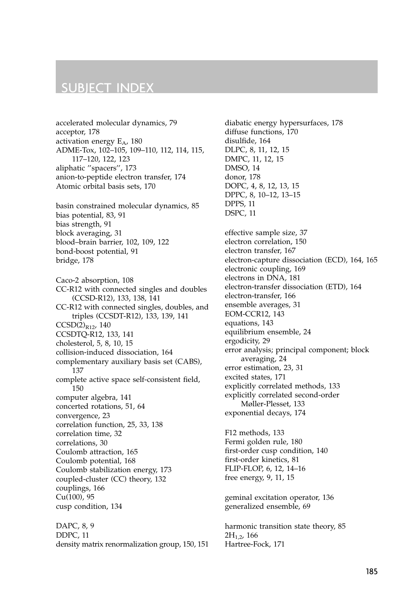# SUBJECT INDEX

accelerated molecular dynamics, 79 acceptor, 178 activation energy  $E_A$ , 180 ADME-Tox, 102–105, 109–110, 112, 114, 115, 117–120, 122, 123 aliphatic ''spacers'', 173 anion-to-peptide electron transfer, 174 Atomic orbital basis sets, 170 basin constrained molecular dynamics, 85 bias potential, 83, 91 bias strength, 91 block averaging, 31 blood–brain barrier, 102, 109, 122 bond-boost potential, 91 bridge, 178 Caco-2 absorption, 108 CC-R12 with connected singles and doubles (CCSD-R12), 133, 138, 141 CC-R12 with connected singles, doubles, and triples (CCSDT-R12), 133, 139, 141  $CCSD(2)_{R12}$ , 140

- CCSDTQ-R12, 133, 141
- cholesterol, 5, 8, 10, 15
- collision-induced dissociation, 164

complementary auxiliary basis set (CABS), 137 complete active space self-consistent field, 150 computer algebra, 141 concerted rotations, 51, 64

convergence, 23 correlation function, 25, 33, 138 correlation time, 32 correlations, 30 Coulomb attraction, 165 Coulomb potential, 168 Coulomb stabilization energy, 173 coupled-cluster (CC) theory, 132 couplings, 166 Cu(100), 95 cusp condition, 134

DAPC, 8, 9 DDPC, 11 density matrix renormalization group, 150, 151

diabatic energy hypersurfaces, 178 diffuse functions, 170 disulfide, 164 DLPC, 8, 11, 12, 15 DMPC, 11, 12, 15 DMSO, 14 donor, 178 DOPC, 4, 8, 12, 13, 15 DPPC, 8, 10–12, 13–15 DPPS, 11 DSPC, 11

effective sample size, 37 electron correlation, 150 electron transfer, 167 electron-capture dissociation (ECD), 164, 165 electronic coupling, 169 electrons in DNA, 181 electron-transfer dissociation (ETD), 164 electron-transfer, 166 ensemble averages, 31 EOM-CCR12, 143 equations, 143 equilibrium ensemble, 24 ergodicity, 29 error analysis; principal component; block averaging, 24 error estimation, 23, 31 excited states, 171 explicitly correlated methods, 133 explicitly correlated second-order Møller-Plesset, 133 exponential decays, 174

F12 methods, 133 Fermi golden rule, 180 first-order cusp condition, 140 first-order kinetics, 81 FLIP-FLOP, 6, 12, 14–16 free energy, 9, 11, 15

geminal excitation operator, 136 generalized ensemble, 69

harmonic transition state theory, 85  $2H_1$ , 166 Hartree-Fock, 171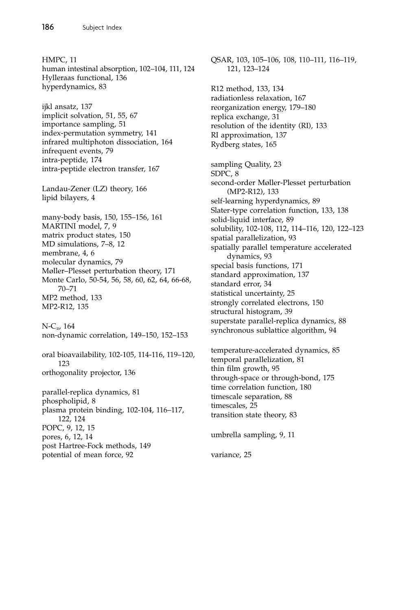HMPC, 11 human intestinal absorption, 102–104, 111, 124 Hylleraas functional, 136 hyperdynamics, 83

ijkl ansatz, 137 implicit solvation, 51, 55, 67 importance sampling, 51 index-permutation symmetry, 141 infrared multiphoton dissociation, 164 infrequent events, 79 intra-peptide, 174 intra-peptide electron transfer, 167

Landau-Zener (LZ) theory, 166 lipid bilayers, 4

many-body basis, 150, 155–156, 161 MARTINI model, 7, 9 matrix product states, 150 MD simulations, 7–8, 12 membrane, 4, 6 molecular dynamics, 79 Møller–Plesset perturbation theory, 171 Monte Carlo, 50-54, 56, 58, 60, 62, 64, 66-68, 70–71 MP2 method, 133 MP2-R12, 135

 $N-C_{\alpha}$ , 164 non-dynamic correlation, 149–150, 152–153

oral bioavailability, 102-105, 114-116, 119–120, 123 orthogonality projector, 136

parallel-replica dynamics, 81 phospholipid, 8 plasma protein binding, 102-104, 116–117, 122, 124 POPC, 9, 12, 15 pores, 6, 12, 14 post Hartree-Fock methods, 149 potential of mean force, 92

QSAR, 103, 105–106, 108, 110–111, 116–119, 121, 123–124 R12 method, 133, 134 radiationless relaxation, 167 reorganization energy, 179–180 replica exchange, 31 resolution of the identity (RI), 133 RI approximation, 137 Rydberg states, 165 sampling Quality, 23 SDPC, 8 second-order Møller-Plesset perturbation (MP2-R12), 133 self-learning hyperdynamics, 89 Slater-type correlation function, 133, 138 solid-liquid interface, 89 solubility, 102-108, 112, 114–116, 120, 122–123 spatial parallelization, 93 spatially parallel temperature accelerated dynamics, 93 special basis functions, 171 standard approximation, 137 standard error, 34 statistical uncertainty, 25 strongly correlated electrons, 150 structural histogram, 39 superstate parallel-replica dynamics, 88 synchronous sublattice algorithm, 94 temperature-accelerated dynamics, 85

temporal parallelization, 81 thin film growth, 95 through-space or through-bond, 175 time correlation function, 180 timescale separation, 88 timescales, 25 transition state theory, 83

umbrella sampling, 9, 11

variance, 25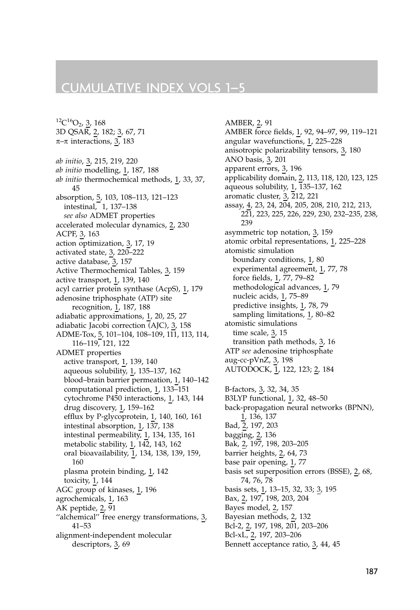## CUMULATIVE INDEX VOLS 1–5

 ${}^{12}C^{16}O_2$ , 3, 168 3D QSAR, 2, 182; 3, 67, 71  $\pi$ – $\pi$  interactions, 3, 183 ab initio, 3, 215, 219, 220 ab initio modelling, 1, 187, 188 ab initio thermochemical methods, 1, 33, 37, 45 absorption, 5, 103, 108–113, 121–123 intestinal, 1, 137–138 see also ADMET properties accelerated molecular dynamics, 2, 230 ACPF, 3, 163 action optimization, 3, 17, 19 activated state, 3, 220–222 active database, 3, 157 Active Thermochemical Tables, 3, 159 active transport,  $1$ , 139, 140 acyl carrier protein synthase (AcpS), 1, 179 adenosine triphosphate (ATP) site recognition, 1, 187, 188 adiabatic approximations,  $1$ , 20, 25, 27 adiabatic Jacobi correction (AJC), 3, 158 ADME-Tox, 5, 101–104, 108–109, 111, 113, 114, 116–119, 121, 122 ADMET properties active transport, 1, 139, 140 aqueous solubility, 1, 135–137, 162 blood–brain barrier permeation, 1, 140–142 computational prediction, 1, 133–151 cytochrome P450 interactions, 1, 143, 144 drug discovery, 1, 159-162 efflux by P-glycoprotein,  $1$ , 140, 160, 161 intestinal absorption, 1, 137, 138 intestinal permeability,  $1$ , 134, 135, 161 metabolic stability, 1, 142, 143, 162 oral bioavailability, 1, 134, 138, 139, 159, 160 plasma protein binding, 1, 142 toxicity, 1, 144 AGC group of kinases, 1, 196 agrochemicals, 1, 163 AK peptide, 2, 91 "alchemical" free energy transformations, 3, 41–53 alignment-independent molecular descriptors, 3, 69

AMBER, 2, 91 AMBER force fields, 1, 92, 94–97, 99, 119–121 angular wavefunctions, 1, 225–228 anisotropic polarizability tensors, 3, 180 ANO basis, 3, 201 apparent errors, 3, 196 applicability domain, 2, 113, 118, 120, 123, 125 aqueous solubility,  $1$ , 135–137, 162 aromatic cluster, 3, 212, 221 assay, 4, 23, 24, 204, 205, 208, 210, 212, 213, 221, 223, 225, 226, 229, 230, 232–235, 238, 239 asymmetric top notation, 3, 159 atomic orbital representations, 1, 225–228 atomistic simulation boundary conditions, 1, 80 experimental agreement, 1, 77, 78 force fields, 1, 77, 79–82 methodological advances, 1, 79 nucleic acids, <u>1</u>, 75–89 predictive insights, 1, 78, 79 sampling limitations, 1, 80–82 atomistic simulations time scale, 3, 15 transition path methods, 3, 16 ATP see adenosine triphosphate aug-cc-pVnZ, 3, 198 AUTODOCK, 1, 122, 123; 2, 184 B-factors, 3, 32, 34, 35 B3LYP functional, 1, 32, 48–50 back-propagation neural networks (BPNN), 1, 136, 137 Bad, 2, 197, 203 bagging, 2, 136 Bak, 2, 197, 198, 203–205 barrier heights, 2, 64, 73 base pair opening, 1, 77 basis set superposition errors (BSSE), 2, 68, 74, 76, 78 basis sets, 1, 13–15, 32, 33; 3, 195 Bax, 2, 197, 198, 203, 204 Bayes model, 2, 157 Bayesian methods, 2, 132 Bcl-2, 2, 197, 198, 201, 203–206 Bcl-xL, 2, 197, 203–206 Bennett acceptance ratio, 3, 44, 45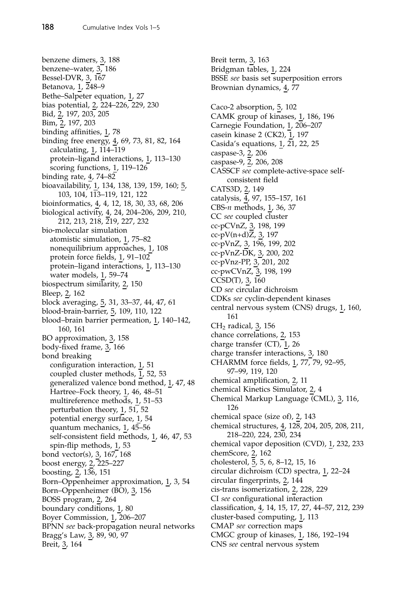benzene dimers, 3, 188 benzene–water, 3, 186 Bessel-DVR, 3, 167 Betanova, 1, 248-9 Bethe–Salpeter equation, 1, 27 bias potential, 2, 224–226, 229, 230 Bid, 2, 197, 203, 205 Bim, 2, 197, 203 binding affinities, 1, 78 binding free energy, 4, 69, 73, 81, 82, 164 calculating, 1, 114–119 protein–ligand interactions, 1, 113–130 scoring functions, 1, 119-126 binding rate, 4, 74–82 bioavailability, 1, 134, 138, 139, 159, 160; 5, 103, 104, 113–119, 121, 122 bioinformatics, 4, 4, 12, 18, 30, 33, 68, 206 biological activity, 4, 24, 204–206, 209, 210, 212, 213, 218, 219, 227, 232 bio-molecular simulation atomistic simulation, 1, 75–82 nonequilibrium approaches, 1, 108 protein force fields, 1, 91-102 protein–ligand interactions, 1, 113–130 water models, 1, 59–74 biospectrum similarity, 2, 150 Bleep, 2, 162 block averaging, 5, 31, 33–37, 44, 47, 61 blood-brain-barrier, 5, 109, 110, 122 blood–brain barrier permeation, 1, 140–142, 160, 161 BO approximation, 3, 158 body-fixed frame, 3, 166 bond breaking configuration interaction, 1, 51 coupled cluster methods, 1, 52, 53 generalized valence bond method, 1, 47, 48 Hartree–Fock theory, 1, 46, 48–51 multireference methods, 1, 51–53 perturbation theory, 1, 51, 52 potential energy surface, 1, 54 quantum mechanics, 1, 45–56 self-consistent field methods, 1, 46, 47, 53 spin-flip methods, 1, 53 bond vector(s), 3, 167, 168 boost energy, 2, 225–227 boosting, 2, 136, 151 Born–Oppenheimer approximation, 1, 3, 54 Born–Oppenheimer (BO), 3, 156 BOSS program, 2, 264 boundary conditions, 1, 80 Boyer Commission, 1, 206-207 BPNN see back-propagation neural networks Bragg's Law, 3, 89, 90, 97 Breit, 3, 164

Breit term, 3, 163 Bridgman tables, 1, 224 BSSE see basis set superposition errors Brownian dynamics,  $\frac{4}{3}$ , 77 Caco-2 absorption, 5, 102 CAMK group of kinases, 1, 186, 196 Carnegie Foundation, 1, 206-207 casein kinase 2 (CK2), 1, 197 Casida's equations, 1, 21, 22, 25 caspase-3, 2, 206 caspase-9, 2, 206, 208 CASSCF see complete-active-space selfconsistent field CATS3D, 2, 149 catalysis, 4, 97, 155–157, 161 CBS-n methods, 1, 36, 37 CC see coupled cluster cc-pCVnZ, 3, 198, 199 cc-pV(n+d) $\bar{Z}$ ,  $\bar{3}$ , 197 cc-pVnZ, 3, 196, 199, 202 cc-pVnZ-DK, 3, 200, 202 cc-pVnz-PP, 3, 201, 202 cc-pwCVnZ, 3, 198, 199  $CCSD(T)$ , 3,  $160$ CD see circular dichroism CDKs see cyclin-dependent kinases central nervous system (CNS) drugs, 1, 160, 161  $CH<sub>2</sub>$  radical,  $3/3$ , 156 chance correlations, 2, 153 charge transfer (CT), 1, 26 charge transfer interactions, 3, 180 CHARMM force fields, 1, 77, 79, 92–95, 97–99, 119, 120 chemical amplification, 2, 11 chemical Kinetics Simulator, 2, 4 Chemical Markup Language (CML), 3, 116, 126 chemical space (size of), 2, 143 chemical structures, 4, 128, 204, 205, 208, 211, 218–220, 224, 230, 234 chemical vapor deposition (CVD), 1, 232, 233 chemScore, 2, 162 cholesterol, 5, 5, 6, 8–12, 15, 16 circular dichroism (CD) spectra, 1, 22–24 circular fingerprints, 2, 144 cis-trans isomerization, 2, 228, 229 CI see configurational interaction classification, 4, 14, 15, 17, 27, 44–57, 212, 239 cluster-based computing, 1, 113 CMAP see correction maps CMGC group of kinases, 1, 186, 192–194 CNS see central nervous system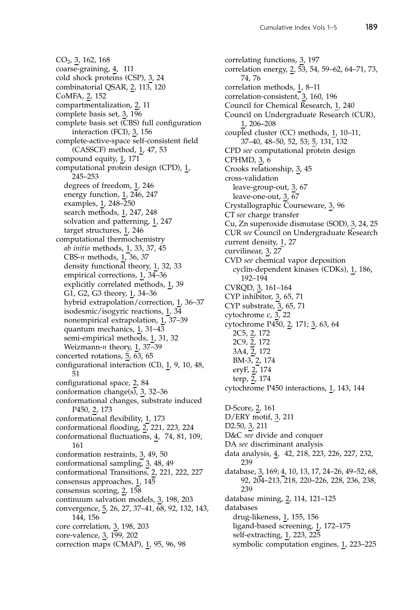$CO<sub>2</sub>, 3, 162, 168$ coarse-graining, 4, 111 cold shock proteins (CSP), 3, 24 combinatorial QSAR, 2, 113, 120 CoMFA, 2, 152 compartmentalization, 2, 11 complete basis set, 3, 196 complete basis set (CBS) full configuration interaction (FCI), 3, 156 complete-active-space self-consistent field  $(CASSCF)$  method,  $1, 47, 53$ compound equity, 1, 171 computational protein design (CPD), 1, 245–253 degrees of freedom, 1, 246 energy function, 1, 246, 247 examples, 1, 248–250 search methods, 1, 247, 248 solvation and patterning, 1, 247 target structures,  $1$ , 246 computational thermochemistry ab initio methods, 1, 33, 37, 45 CBS-n methods, 1, 36, 37 density functional theory, 1, 32, 33 empirical corrections, 1, 34–36 explicitly correlated methods, 1, 39 G1, G2, G3 theory, <u>1</u>, 34–36 hybrid extrapolation/correction, 1, 36–37 isodesmic/isogyric reactions, 1, 34 nonempirical extrapolation, 1, 37–39 quantum mechanics, 1, 31–43 semi-empirical methods, 1, 31, 32 Weizmann- $n$  theory,  $1$ , 37–39 concerted rotations, 5, 63, 65 configurational interaction (CI), 1, 9, 10, 48, 51 configurational space, 2, 84 conformation change(s), 3, 32–36 conformational changes, substrate induced P450, 2, 173 conformational flexibility, 1, 173 conformational flooding, 2, 221, 223, 224 conformational fluctuations,  $\frac{4}{1}$ , 74, 81, 109, 161 conformation restraints, 3, 49, 50 conformational sampling, 3, 48, 49 conformational Transitions, 2, 221, 222, 227 consensus approaches, 1, 145 consensus scoring, 2, 158 continuum salvation models, 3, 198, 203 convergence, 5, 26, 27, 37–41, 68, 92, 132, 143, 144, 156 core correlation, 3, 198, 203 core-valence, 3, 199, 202 correction maps (CMAP), 1, 95, 96, 98

correlating functions, 3, 197 correlation energy, 2, 53, 54, 59–62, 64–71, 73, 74, 76 correlation methods,  $1, 8-11$ correlation-consistent, 3, 160, 196 Council for Chemical Research, 1, 240 Council on Undergraduate Research (CUR), 1, 206–208 coupled cluster (CC) methods, 1, 10–11, 37–40, 48–50, 52, 53; 5, 131, 132 CPD see computational protein design CPHMD, 3, 6 Crooks relationship, 3, 45 cross-validation leave-group-out, 3, 67 leave-one-out, 3, 67 Crystallographic Courseware, 3, 96 CT see charge transfer Cu, Zn superoxide dismutase (SOD), 3, 24, 25 CUR see Council on Undergraduate Research current density, 1, 27 curvilinear, 3, 27 CVD see chemical vapor deposition cyclin-dependent kinases (CDKs), 1, 186, 192–194 CVRQD, 3, 161–164 CYP inhibitor, 3, 65, 71 CYP substrate, 3, 65, 71 cytochrome c, 3, 22 cytochrome P450, 2, 171; 3, 63, 64 2C5, 2, 172  $2C9, 2, 172$ 3A4, 2, 172 BM-3, 2, 174 eryF, 2, 174 terp, 2, 174 cytochrome P450 interactions, 1, 143, 144 D-Score, 2, 161 D/ERY motif, 3, 211 D2.50, 3, 211 D&C see divide and conquer DA see discriminant analysis data analysis, 4, 42, 218, 223, 226, 227, 232, 239 database, 3, 169; 4, 10, 13, 17, 24–26, 49–52, 68, 92, 204–213, 218, 220–226, 228, 236, 238, 239 database mining, 2, 114, 121–125 databases drug-likeness, 1, 155, 156 ligand-based screening, 1, 172-175 self-extracting, 1, 223, 225 symbolic computation engines, 1, 223–225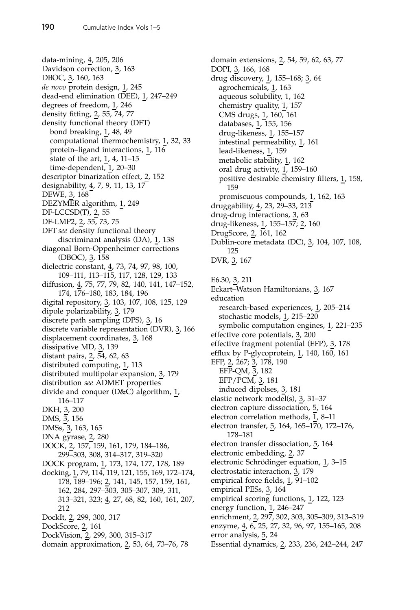data-mining, 4, 205, 206 Davidson correction, 3, 163 DBOC, 3, 160, 163 de novo protein design, 1, 245 dead-end elimination (DEE), 1, 247–249 degrees of freedom, 1, 246 density fitting, 2, 55, 74, 77 density functional theory (DFT) bond breaking, 1, 48, 49 computational thermochemistry, 1, 32, 33 protein–ligand interactions, 1, 116 state of the art,  $1, 4, 11-15$ time-dependent, 1, 20-30 descriptor binarization effect, 2, 152 designability, 4, 7, 9, 11, 13, 17 DEWE, 3, 168 DEZYMER algorithm, 1, 249 DF-LCCSD(T), 2, 55 DF-LMP2, 2, 55, 73, 75 DFT see density functional theory discriminant analysis (DA), 1, 138 diagonal Born-Oppenheimer corrections (DBOC), 3, 158 dielectric constant, 4, 73, 74, 97, 98, 100, 109–111, 113–115, 117, 128, 129, 133 diffusion, 4, 75, 77, 79, 82, 140, 141, 147–152, 174, 176–180, 183, 184, 196 digital repository, 3, 103, 107, 108, 125, 129 dipole polarizability, 3, 179 discrete path sampling (DPS), 3, 16 discrete variable representation (DVR), 3, 166 displacement coordinates, 3, 168 dissipative MD, 3, 139 distant pairs, 2, 54, 62, 63 distributed computing, 1, 113 distributed multipolar expansion, 3, 179 distribution see ADMET properties divide and conquer (D&C) algorithm,  $1$ , 116–117 DKH, 3, 200 DMS, 3, 156 DMSs, 3, 163, 165 DNA gyrase, 2, 280 DOCK, 2, 157, 159, 161, 179, 184–186, 299–303, 308, 314–317, 319–320 DOCK program, 1, 173, 174, 177, 178, 189 docking, 1, 79, 114, 119, 121, 155, 169, 172–174, 178, 189–196; 2, 141, 145, 157, 159, 161, 162, 284, 297–303, 305–307, 309, 311, 313–321, 323; 4, 27, 68, 82, 160, 161, 207, 212 DockIt, 2, 299, 300, 317 DockScore, 2, 161 DockVision, 2, 299, 300, 315–317 domain approximation, 2, 53, 64, 73–76, 78

domain extensions, 2, 54, 59, 62, 63, 77 DOPI, 3, 166, 168 drug discovery, 1, 155–168; 3, 64 agrochemicals, 1, 163 aqueous solubility, 1, 162 chemistry quality, 1, 157 CMS drugs, 1, 160, 161 databases, 1, 155, 156 drug-likeness, 1, 155–157 intestinal permeability, 1, 161 lead-likeness, 1, 159 metabolic stability, 1, 162 oral drug activity, 1, 159–160 positive desirable chemistry filters, 1, 158, 159 promiscuous compounds, 1, 162, 163 druggability, 4, 23, 29–33, 213 drug-drug interactions, 3, 63 drug-likeness, 1, 155–157; 2, 160 DrugScore, 2, 161, 162 Dublin-core metadata (DC), 3, 104, 107, 108, 125 DVR, 3, 167 E6.30, 3, 211 Eckart–Watson Hamiltonians, 3, 167 education research-based experiences, 1, 205–214 stochastic models, 1, 215–220 symbolic computation engines, 1, 221–235 effective core potentials, 3, 200 effective fragment potential (EFP), 3, 178 efflux by P-glycoprotein,  $1$ , 140, 160, 161 EFP, 2, 267; 3, 178, 190  $EFP-QM, 3, 182$ EFP/PCM, 3, 181 induced dipolses, 3, 181 elastic network model(s), 3, 31–37 electron capture dissociation, 5, 164 electron correlation methods, 1, 8–11 electron transfer, 5, 164, 165–170, 172–176, 178–181 electron transfer dissociation, 5, 164 electronic embedding, 2, 37 electronic Schrödinger equation, 1, 3-15 electrostatic interaction, 3, 179 empirical force fields, 1, 91–102 empirical PESs, 3, 164 empirical scoring functions, 1, 122, 123 energy function, 1, 246–247 enrichment, 2, 297, 302, 303, 305–309, 313–319 enzyme, 4, 6, 25, 27, 32, 96, 97, 155–165, 208 error analysis, 5, 24 Essential dynamics, 2, 233, 236, 242–244, 247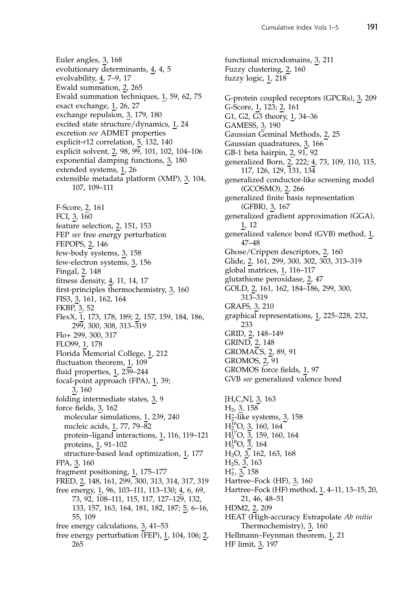Euler angles, 3, 168 evolutionary determinants, 4, 4, 5 evolvability,  $4$ , 7-9, 17 Ewald summation, 2, 265 Ewald summation techniques,  $1, 59, 62, 75$ exact exchange, 1, 26, 27 exchange repulsion, 3, 179, 180 excited state structure/dynamics, 1, 24 excretion see ADMET properties explicit-r12 correlation, 5, 132, 140 explicit solvent, 2, 98, 99, 101, 102, 104–106 exponential damping functions, 3, 180 extended systems, 1, 26 extensible metadata platform (XMP), 3, 104, 107, 109–111 F-Score, 2, 161 FCI, 3, 160 feature selection, 2, 151, 153 FEP see free energy perturbation FEPOPS, 2, 146 few-body systems, 3, 158 few-electron systems, 3, 156 Fingal, 2, 148 fitness density, 4, 11, 14, 17 first-principles thermochemistry, 3, 160 FIS3, 3, 161, 162, 164 FKBP, 3, 52 FlexX, 1, 173, 178, 189; 2, 157, 159, 184, 186, 299, 300, 308, 313–319 Flo+ 299, 300, 317 FLO99, 1, 178 Florida Memorial College, 1, 212 fluctuation theorem,  $1/109$ fluid properties, 1, 239-244 focal-point approach (FPA), 1, 39; 3, 160 folding intermediate states, 3, 9 force fields,  $3/3$ , 162 molecular simulations, 1, 239, 240 nucleic acids, 1, 77, 79–82 protein–ligand interactions, 1, 116, 119–121 proteins, 1, 91–102 structure-based lead optimization, 1, 177 FPA, 3, 160 fragment positioning, 1, 175–177 FRED, 2, 148, 161, 299, 300, 313, 314, 317, 319 free energy, 1, 96, 103–111, 113–130; 4, 6, 69, 73, 92, 108–111, 115, 117, 127–129, 132, 133, 157, 163, 164, 181, 182, 187; 5, 6–16, 55, 109 free energy calculations, 3, 41–53 free energy perturbation (FEP),  $\underline{1}$ , 104, 106; 2, 265

functional microdomains, 3, 211 Fuzzy clustering, 2, 160 fuzzy logic, 1, 218 G-protein coupled receptors (GPCRs), 3, 209 G-Score, 1, 123; 2, 161 G1, G2, G3 theory, 1, 34-36 GAMESS, 3, 190 Gaussian Geminal Methods, 2, 25 Gaussian quadratures, 3, 166 GB-1 beta hairpin, 2, 91, 92 generalized Born, 2, 222; 4, 73, 109, 110, 115, 117, 126, 129, 131, 134 generalized conductor-like screening model (GCOSMO), 2, 266 generalized finite basis representation (GFBR), <u>3</u>, 167 generalized gradient approximation (GGA), 1, 12 generalized valence bond (GVB) method, 1, 47–48 Ghose/Crippen descriptors, 2, 160 Glide, 2, 161, 299, 300, 302, 303, 313–319 global matrices, 1, 116–117 glutathione peroxidase, 2, 47 GOLD, <u>2</u>, 161, 162, 184–186, 299, 300, 313–319 GRAFS, 3, 210 graphical representations, 1, 225–228, 232, 233 GRID, 2, 148–149 GRIND, <u>2</u>, 148 GROMACS, <u>2</u>, 89, 91 GROMOS, 2, 91 GROMOS force fields, 1, 97 GVB see generalized valence bond [H,C,N], 3, 163  $H<sub>2</sub>$ , 3, 158 H<sub>2</sub>-like systems, 3, 158  $H_2^{16}O$ , 3, 160, 164  $\rm H_2^{17}O$ , 3, 159, 160, 164 H<sub>2</sub><sup>8</sup>O, <u>3</u>, 164 H<sub>2</sub>O, 3, 162, 163, 168  $H_2S$ ,  $3, 163$  $H_2^*$ , 3, 158 Hartree–Fock (HF), 3, 160 Hartree–Fock (HF) method, 1, 4–11, 13–15, 20, 21, 46, 48–51 HDM2, 2, 209 HEAT (High-accuracy Extrapolate Ab initio Thermochemistry), 3, 160 Hellmann–Feynman theorem, 1, 21 HF limit, 3, 197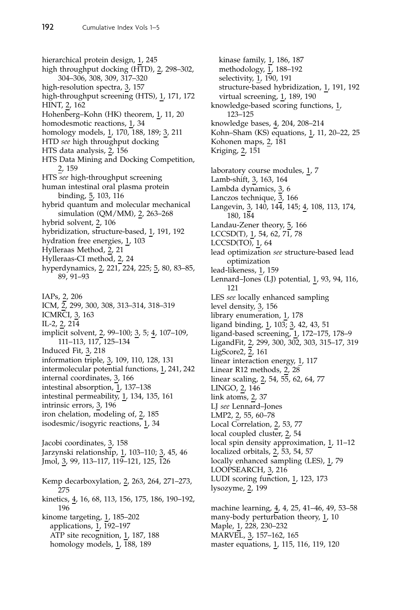hierarchical protein design, 1, 245 high throughput docking (HTD), 2, 298–302, 304–306, 308, 309, 317–320 high-resolution spectra, 3, 157 high-throughput screening (HTS), 1, 171, 172 HINT, 2, 162 Hohenberg–Kohn (HK) theorem, 1, 11, 20 homodesmotic reactions, 1, 34 homology models, 1, 170, 188, 189; 3, 211 HTD see high throughput docking HTS data analysis, 2, 156 HTS Data Mining and Docking Competition, 2, 159 HTS see high-throughput screening human intestinal oral plasma protein binding, 5, 103, 116 hybrid quantum and molecular mechanical simulation (QM/MM), 2, 263–268 hybrid solvent, 2, 106 hybridization, structure-based, 1, 191, 192 hydration free energies, 1, 103 Hylleraas Method, 2, 21 Hylleraas-CI method, 2, 24 hyperdynamics, 2, 221, 224, 225; 5, 80, 83–85, 89, 91–93 IAPs, 2, 206 ICM, 2, 299, 300, 308, 313–314, 318–319 ICMRCI, 3, 163 IL-2, 2, 214 implicit solvent, 2, 99–100; 3, 5; 4, 107–109, 111–113, 117, 125–134 Induced Fit, 3, 218 information triple, 3, 109, 110, 128, 131 intermolecular potential functions, 1, 241, 242 internal coordinates, 3, 166 intestinal absorption, 1, 137–138 intestinal permeability, 1, 134, 135, 161 intrinsic errors, 3, 196 iron chelation, modeling of, 2, 185 isodesmic/isogyric reactions, 1, 34 Jacobi coordinates, 3, 158 Jarzynski relationship, 1, 103–110; 3, 45, 46 Jmol, 3, 99, 113–117, 119–121, 125, 126 Kemp decarboxylation, 2, 263, 264, 271–273, 275 kinetics, 4, 16, 68, 113, 156, 175, 186, 190–192, 196 kinome targeting, 1, 185–202 applications, 1, 192–197 ATP site recognition, 1, 187, 188 homology models, 1, 188, 189

kinase family, 1, 186, 187 methodology, 1, 188–192 selectivity, 1, 190, 191 structure-based hybridization, 1, 191, 192 virtual screening,  $1/189$ , 190 knowledge-based scoring functions, 1, 123–125 knowledge bases, 4, 204, 208–214 Kohn–Sham (KS) equations, 1, 11, 20–22, 25 Kohonen maps, 2, 181 Kriging, 2, 151 laboratory course modules, 1, 7 Lamb-shift, 3, 163, 164 Lambda dynamics, 3, 6 Lanczos technique, 3, 166 Langevin, 3, 140, 144, 145; 4, 108, 113, 174, 180, 184 Landau-Zener theory, 5, 166 LCCSD(T),  $1, 54, 62, 71, 78$ LCCSD(TO), 1, 64 lead optimization see structure-based lead optimization lead-likeness, 1, 159 Lennard–Jones (LJ) potential,  $1/93$ , 94, 116, 121 LES see locally enhanced sampling level density, 3, 156 library enumeration, 1, 178 ligand binding, 1, 103; 3, 42, 43, 51 ligand-based screening, 1, 172–175, 178–9 LigandFit, 2, 299, 300, 302, 303, 315–17, 319 LigScore2, 2, 161 linear interaction energy, 1, 117 Linear R12 methods, 2, 28 linear scaling, 2, 54, 55, 62, 64, 77 LINGO, 2, 146 link atoms, 2, 37 LJ see Lennard–Jones LMP2, 2, 55, 60-78 Local Correlation, 2, 53, 77 local coupled cluster, 2, 54 local spin density approximation, 1, 11–12 localized orbitals, 2, 53, 54, 57 locally enhanced sampling (LES), 1, 79 LOOPSEARCH, 3, 216 LUDI scoring function, 1, 123, 173 lysozyme, 2, 199 machine learning, 4, 4, 25, 41–46, 49, 53–58

many-body perturbation theory, 1, 10 Maple, 1, 228, 230–232 MARVEL, 3, 157–162, 165 master equations, 1, 115, 116, 119, 120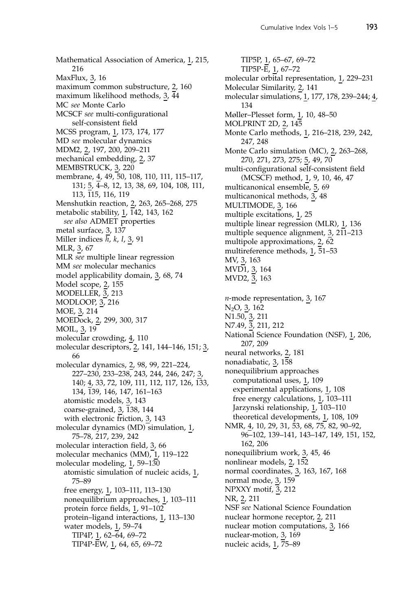Mathematical Association of America, 1, 215, 216 MaxFlux, 3, 16 maximum common substructure, 2, 160 maximum likelihood methods, 3, 44 MC see Monte Carlo MCSCF see multi-configurational self-consistent field MCSS program, 1, 173, 174, 177 MD see molecular dynamics MDM2, 2, 197, 200, 209–211 mechanical embedding, 2, 37 MEMBSTRUCK, 3, 220 membrane, 4, 49, 50, 108, 110, 111, 115–117, 131; 5, 4–8, 12, 13, 38, 69, 104, 108, 111, 113, 115, 116, 119 Menshutkin reaction, 2, 263, 265–268, 275 metabolic stability, 1, 142, 143, 162 see also ADMET properties metal surface, 3, 137 Miller indices  $h$ ,  $k$ ,  $l$ ,  $3$ ,  $91$ MLR, 3, 67 MLR see multiple linear regression MM see molecular mechanics model applicability domain, 3, 68, 74 Model scope, <u>2</u>, 155 MODELLER*,* <u>3</u>, 213 MODLOOP, 3, 216 MOE, 3, 214 MOEDock, 2, 299, 300, 317 MOIL, 3, 19 molecular crowding,  $\frac{4}{10}$ , 110 molecular descriptors, 2, 141, 144–146, 151; 3, 66 molecular dynamics, 2, 98, 99, 221–224, 227–230, 233–238, 243, 244, 246, 247; 3, 140; 4, 33, 72, 109, 111, 112, 117, 126, 133, 134, 139, 146, 147, 161–163 atomistic models, 3, 143 coarse-grained, 3, 138, 144 with electronic friction, 3, 143 molecular dynamics (MD) simulation, 1, 75–78, 217, 239, 242 molecular interaction field, 3, 66 molecular mechanics (MM), 1, 119–122 molecular modeling, 1, 59-130 atomistic simulation of nucleic acids, 1, 75–89 free energy, 1, 103–111, 113–130 nonequilibrium approaches, 1, 103–111 protein force fields, 1, 91–102 protein–ligand interactions, 1, 113–130 water models, 1, 59–74 TIP4P, 1, 62–64, 69–72 TIP4P-EW, 1, 64, 65, 69–72

TIP5P, 1, 65–67, 69–72 TIP5P-E, 1, 67–72 molecular orbital representation, 1, 229–231 Molecular Similarity, 2, 141 molecular simulations, 1, 177, 178, 239–244; 4, 134 Møller–Plesset form, 1, 10, 48–50 MOLPRINT 2D, 2, 145 Monte Carlo methods, 1, 216–218, 239, 242, 247, 248 Monte Carlo simulation (MC), 2, 263–268, 270, 271, 273, 275; 5, 49, 70 multi-configurational self-consistent field (MCSCF) method, 1, 9, 10, 46, 47 multicanonical ensemble, 5, 69 multicanonical methods, 3, 48 MULTIMODE, 3, 166 multiple excitations, 1, 25 multiple linear regression (MLR), 1, 136 multiple sequence alignment, 3, 211–213 multipole approximations, 2, 62 multireference methods, 1, 51–53 MV, 3, 163 MVD1, 3, 164 MVD2, 3, 163 *n*-mode representation,  $\frac{3}{2}$ , 167 N2O, 3, 162 N1.50, 3, 211 N7.49, 3, 211, 212 National Science Foundation (NSF), 1, 206, 207, 209 neural networks, 2, 181 nonadiabatic, 3, 158 nonequilibrium approaches computational uses, 1, 109 experimental applications, 1, 108 free energy calculations, 1, 103–111 Jarzynski relationship, 1, 103-110 theoretical developments,  $1/108$ , 109 NMR, 4, 10, 29, 31, 53, 68, 75, 82, 90–92, 96–102, 139–141, 143–147, 149, 151, 152, 162, 206 nonequilibrium work, 3, 45, 46 nonlinear models, 2, 152 normal coordinates, 3, 163, 167, 168 normal mode, 3, 159 NPXXY motif, 3, 212 NR, 2, 211 NSF see National Science Foundation nuclear hormone receptor, 2, 211 nuclear motion computations, 3, 166 nuclear-motion, 3, 169 nucleic acids, 1, 75–89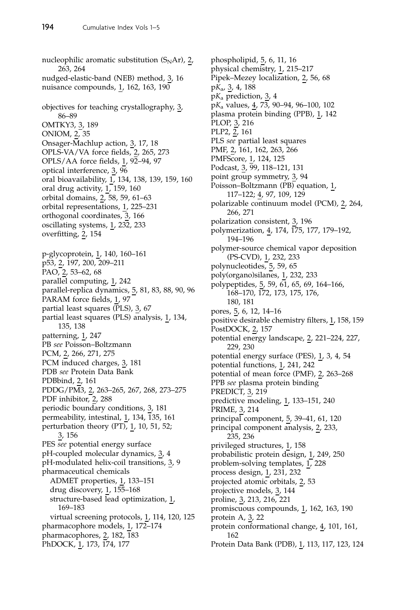nucleophilic aromatic substitution  $(S_NAr)$ , 2, 263, 264 nudged-elastic-band (NEB) method, 3, 16 nuisance compounds, 1, 162, 163, 190 objectives for teaching crystallography, 3, 86–89 OMTKY3, 3, 189 ONIOM, 2, 35 Onsager-Machlup action, 3, 17, 18 OPLS-VA/VA force fields, 2, 265, 273 OPLS/AA force fields, 1, 92-94, 97 optical interference, 3, 96 oral bioavailability, 1, 134, 138, 139, 159, 160 oral drug activity,  $1, 159, 160$ orbital domains, 2, 58, 59, 61–63 orbital representations, 1, 225–231 orthogonal coordinates, 3, 166 oscillating systems, 1, 232, 233 overfitting, 2, 154 p-glycoprotein, 1, 140, 160–161 p53, 2, 197, 200, 209–211 PAO, 2, 53–62, 68 parallel computing, 1, 242 parallel-replica dynamics, 5, 81, 83, 88, 90, 96 PARAM force fields, 1, 97 partial least squares (PLS), 3, 67 partial least squares (PLS) analysis, 1, 134, 135, 138 patterning, 1, 247 PB see Poisson–Boltzmann PCM, 2, 266, 271, 275 PCM induced charges, 3, 181 PDB see Protein Data Bank PDBbind, 2, 161 PDDG/PM3, 2, 263–265, 267, 268, 273–275 PDF inhibitor, 2, 288 periodic boundary conditions, 3, 181 permeability, intestinal, 1, 134, 135, 161 perturbation theory (PT), 1, 10, 51, 52; 3, 156 PES see potential energy surface pH-coupled molecular dynamics, 3, 4 pH-modulated helix-coil transitions, 3, 9 pharmaceutical chemicals ADMET properties, 1, 133–151 drug discovery,  $1$ , 155-168 structure-based lead optimization, 1, 169–183 virtual screening protocols, 1, 114, 120, 125 pharmacophore models, 1, 172–174 pharmacophores, 2, 182, 183 PhDOCK, 1, 173, 174, 177

phospholipid, 5, 6, 11, 16 physical chemistry, 1, 215–217 Pipek–Mezey localization, 2, 56, 68  $pK_a$ ,  $\frac{3}{2}$ , 4, 188 pK<sup>a</sup> prediction, 3, 4 pK<sup>a</sup> values, 4, 73, 90–94, 96–100, 102 plasma protein binding (PPB), 1, 142 PLOP, 3, 216 PLP2, 2, 161 PLS see partial least squares PMF, 2, 161, 162, 263, 266 PMFScore, 1, 124, 125 Podcast, 3, 99, 118–121, 131 point group symmetry, 3, 94 Poisson–Boltzmann (PB) equation, 1, 117–122; 4, 97, 109, 129 polarizable continuum model (PCM), 2, 264, 266, 271 polarization consistent, 3, 196 polymerization, 4, 174, 175, 177, 179–192, 194–196 polymer-source chemical vapor deposition (PS-CVD), 1, 232, 233 polynucleotides, 5, 59, 65 poly(organo)silanes, 1, 232, 233 polypeptides, 5, 59, 61, 65, 69, 164–166, 168–170, 172, 173, 175, 176, 180, 181 pores, 5, 6, 12, 14–16 positive desirable chemistry filters, 1, 158, 159 PostDOCK, 2, 157 potential energy landscape, 2, 221–224, 227, 229, 230 potential energy surface (PES), 1, 3, 4, 54 potential functions, 1, 241, 242 potential of mean force (PMF), 2, 263–268 PPB see plasma protein binding PREDICT, 3, 219 predictive modeling, 1, 133–151, 240 PRIME, 3, 214 principal component, 5, 39–41, 61, 120 principal component analysis, 2, 233, 235, 236 privileged structures, 1, 158 probabilistic protein design, 1, 249, 250 problem-solving templates, 1, 228 process design, 1, 231, 232 projected atomic orbitals, 2, 53 projective models, 3, 144 proline, 3, 213, 216, 221 promiscuous compounds, 1, 162, 163, 190 protein A, 3, 22 protein conformational change, 4, 101, 161, 162

Protein Data Bank (PDB), 1, 113, 117, 123, 124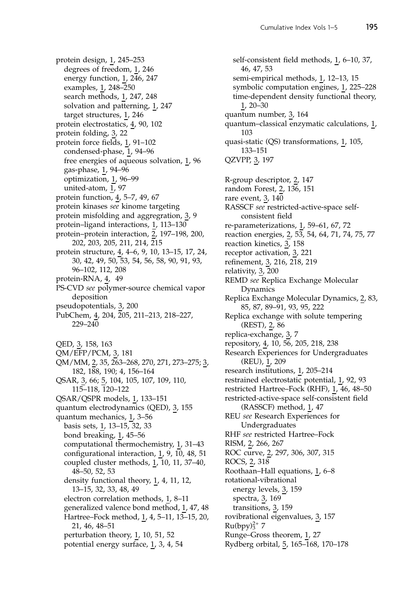protein design, 1, 245–253 degrees of freedom, 1, 246 energy function, 1, 246, 247 examples, 1, 248–250 search methods, 1, 247, 248 solvation and patterning, 1, 247 target structures, 1, 246 protein electrostatics, 4, 90, 102 protein folding, 3, 22 protein force fields, 1, 91–102 condensed-phase, 1, 94–96 free energies of aqueous solvation, 1, 96 gas-phase, 1, 94–96 optimization, 1, 96–99 united-atom,  $1$ , 97 protein function, 4, 5–7, 49, 67 protein kinases see kinome targeting protein misfolding and aggregration, 3, 9 protein–ligand interactions, 1, 113–130 protein–protein interaction, 2, 197–198, 200, 202, 203, 205, 211, 214, 215 protein structure, 4, 4–6, 9, 10, 13–15, 17, 24, 30, 42, 49, 50, 53, 54, 56, 58, 90, 91, 93, 96–102, 112, 208 protein-RNA, 4, 49 PS-CVD see polymer-source chemical vapor deposition pseudopotentials, 3, 200 PubChem, 4, 204, 205, 211–213, 218–227, 229–240 QED, 3, 158, 163 QM/EFP/PCM, 3, 181 QM/MM, 2, 35, 263–268, 270, 271, 273–275; 3, 182, 188, 190; 4, 156–164 QSAR, 3, 66; 5, 104, 105, 107, 109, 110, 115–118, 120–122 QSAR/QSPR models, 1, 133–151 quantum electrodynamics (QED), 3, 155 quantum mechanics,  $1, 3-56$ basis sets, 1, 13–15, 32, 33 bond breaking, 1, 45–56 computational thermochemistry, 1, 31–43 configurational interaction, 1, 9, 10, 48, 51 coupled cluster methods, 1, 10, 11, 37–40, 48–50, 52, 53 density functional theory,  $1, 4, 11, 12$ , 13–15, 32, 33, 48, 49 electron correlation methods, 1, 8-11 generalized valence bond method, 1, 47, 48 Hartree–Fock method, 1, 4, 5–11, 13–15, 20, 21, 46, 48–51 perturbation theory, 1, 10, 51, 52 potential energy surface, 1, 3, 4, 54

self-consistent field methods, 1, 6–10, 37, 46, 47, 53 semi-empirical methods, 1, 12–13, 15 symbolic computation engines, 1, 225–228 time-dependent density functional theory, 1, 20–30 quantum number, 3, 164 quantum–classical enzymatic calculations, 1, 103 quasi-static (QS) transformations, 1, 105, 133–151 QZVPP, 3, 197 R-group descriptor, 2, 147 random Forest, 2, 136, 151 rare event, 3, 140 RASSCF see restricted-active-space selfconsistent field re-parameterizations, 1, 59–61, 67, 72 reaction energies, 2, 53, 54, 64, 71, 74, 75, 77 reaction kinetics, 3, 158 receptor activation, 3, 221 refinement, 3, 216, 218, 219 relativity, 3, 200 REMD see Replica Exchange Molecular Dynamics Replica Exchange Molecular Dynamics, 2, 83, 85, 87, 89–91, 93, 95, 222 Replica exchange with solute tempering (REST), 2, 86 replica-exchange, 3, 7 repository, 4, 10, 56, 205, 218, 238 Research Experiences for Undergraduates (REU), 1, 209 research institutions, 1, 205–214 restrained electrostatic potential, 1, 92, 93 restricted Hartree–Fock (RHF), 1, 46, 48–50 restricted-active-space self-consistent field (RASSCF) method, 1, 47 REU see Research Experiences for Undergraduates RHF see restricted Hartree–Fock RISM, 2, 266, 267 ROC curve, 2, 297, 306, 307, 315 ROCS, 2, 318 Roothaan–Hall equations, 1, 6–8 rotational-vibrational energy levels, 3, 159 spectra, 3, 169 transitions, 3, 159 rovibrational eigenvalues, 3, 157  $Ru(bpy)_{3}^{2+}$  7 Runge–Gross theorem, 1, 27 Rydberg orbital, 5, 165–168, 170–178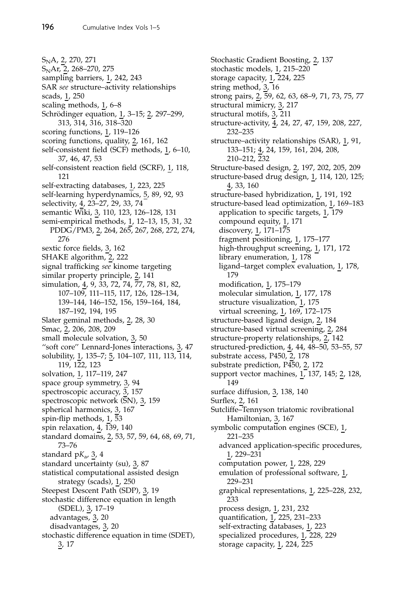$S_N$ A, 2, 270, 271  $S<sub>N</sub>Ar, 2, 268–270, 275$ sampling barriers, 1, 242, 243 SAR see structure–activity relationships scads, 1, 250 scaling methods, 1, 6–8 Schrödinger equation, 1, 3–15; 2, 297–299, 313, 314, 316, 318–320 scoring functions, 1, 119–126 scoring functions, quality, 2, 161, 162 self-consistent field (SCF) methods, 1, 6–10, 37, 46, 47, 53 self-consistent reaction field (SCRF), 1, 118, 121 self-extracting databases, 1, 223, 225 self-learning hyperdynamics, 5, 89, 92, 93 selectivity, 4, 23–27, 29, 33, 74 semantic Wiki, 3, 110, 123, 126–128, 131 semi-empirical methods, 1, 12-13, 15, 31, 32 PDDG/PM3, 2, 264, 265, 267, 268, 272, 274, 276 sextic force fields, 3, 162 SHAKE algorithm, 2, 222 signal trafficking see kinome targeting similar property principle, 2, 141 simulation, 4, 9, 33, 72, 74, 77, 78, 81, 82, 107–109, 111–115, 117, 126, 128–134, 139–144, 146–152, 156, 159–164, 184, 187–192, 194, 195 Slater geminal methods, 2, 28, 30 Smac, 2, 206, 208, 209 small molecule solvation, 3, 50 "soft core" Lennard-Jones interactions, 3, 47 solubility, 1, 135–7; 5, 104–107, 111, 113, 114, 119, 122, 123 solvation, 1, 117-119, 247 space group symmetry, 3, 94 spectroscopic accuracy, 3, 157 spectroscopic network (SN), 3, 159 spherical harmonics, 3, 167 spin-flip methods, 1, 53 spin relaxation, 4, 139, 140 standard domains, 2, 53, 57, 59, 64, 68, 69, 71, 73–76 standard p $K_a$ ,  $\frac{3}{2}$ , 4 standard uncertainty (su), 3, 87 statistical computational assisted design strategy (scads),  $1/250$ Steepest Descent Path (SDP), 3, 19 stochastic difference equation in length (SDEL), 3, 17–19 advantages, 3, 20 disadvantages, 3, 20 stochastic difference equation in time (SDET), 3, 17

Stochastic Gradient Boosting, 2, 137 stochastic models, 1, 215–220 storage capacity,  $1$ , 224, 225 string method, 3, 16 strong pairs, 2, 59, 62, 63, 68–9, 71, 73, 75, 77 structural mimicry, 3, 217 structural motifs, 3, 211 structure-activity, 4, 24, 27, 47, 159, 208, 227, 232–235 structure–activity relationships (SAR), 1, 91, 133–151; 4, 24, 159, 161, 204, 208, 210–212, 232 Structure-based design, 2, 197, 202, 205, 209 structure-based drug design, 1, 114, 120, 125; 4, 33, 160 structure-based hybridization, 1, 191, 192 structure-based lead optimization, 1, 169–183 application to specific targets, 1, 179 compound equity,  $1/171$ discovery, 1, 171–175 fragment positioning, 1, 175–177 high-throughput screening, 1, 171, 172 library enumeration,  $1/178$ ligand–target complex evaluation, 1, 178, 179 modification, 1, 175–179 molecular simulation,  $1/177$ , 178 structure visualization, 1, 175 virtual screening, 1, 169, 172–175 structure-based ligand design, 2, 184 structure-based virtual screening, 2, 284 structure-property relationships, 2, 142 structured-prediction, 4, 44, 48–50, 53–55, 57 substrate access, P450, 2, 178 substrate prediction, P450, 2, 172 support vector machines, 1, 137, 145; 2, 128, 149 surface diffusion, 3, 138, 140 Surflex, 2, 161 Sutcliffe–Tennyson triatomic rovibrational Hamiltonian, 3, 167 symbolic computation engines (SCE), 1, 221–235 advanced application-specific procedures, 1, 229–231 computation power,  $1$ , 228, 229 emulation of professional software, 1, 229–231 graphical representations, 1, 225–228, 232, 233 process design, 1, 231, 232 quantification, 1, 225, 231–233 self-extracting databases, 1, 223 specialized procedures, 1, 228, 229 storage capacity, 1, 224, 225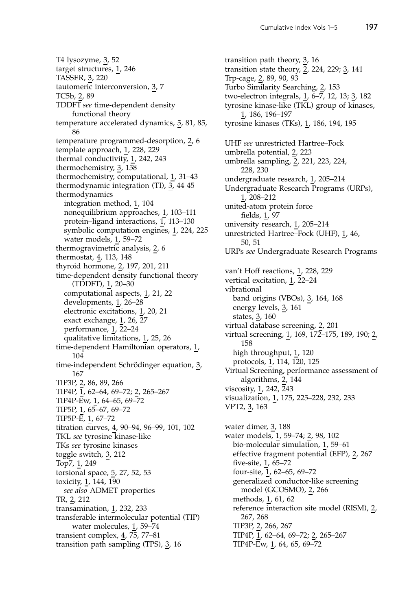T4 lysozyme, 3, 52 target structures, 1, 246 TASSER, 3, 220 tautomeric interconversion, 3, 7 TC5b, 2, 89 TDDFT see time-dependent density functional theory temperature accelerated dynamics, 5, 81, 85, 86 temperature programmed-desorption, 2, 6 template approach, 1, 228, 229 thermal conductivity, 1, 242, 243 thermochemistry, 3, 158 thermochemistry, computational, 1, 31–43 thermodynamic integration (TI), 3, 44 45 thermodynamics integration method, 1, 104 nonequilibrium approaches, 1, 103–111 protein–ligand interactions, 1, 113–130 symbolic computation engines, 1, 224, 225 water models, 1, 59-72 thermogravimetric analysis, 2, 6 thermostat, 4, 113, 148 thyroid hormone, 2, 197, 201, 211 time-dependent density functional theory (TDDFT), 1, 20–30 computational aspects, 1, 21, 22 developments, 1, 26–28 electronic excitations, 1, 20, 21 exact exchange, 1, 26, 27 performance, 1, 22–24 qualitative limitations, 1, 25, 26 time-dependent Hamiltonian operators, 1, 104 time-independent Schrödinger equation, 3, 167 TIP3P, 2, 86, 89, 266 TIP4P, 1, 62–64, 69–72; 2, 265–267 TIP4P-Ew, 1, 64–65, 69–72 TIP5P, 1, 65–67, 69–72 TIP5P-E, 1, 67–72 titration curves, 4, 90–94, 96–99, 101, 102 TKL see tyrosine kinase-like TKs see tyrosine kinases toggle switch, 3, 212 Top7, 1, 249 torsional space, 5, 27, 52, 53 toxicity, 1, 144, 190 see also ADMET properties TR, 2, 212 transamination, 1, 232, 233 transferable intermolecular potential (TIP) water molecules,  $1, 59-74$ transient complex, 4, 75, 77–81 transition path sampling (TPS), 3, 16

transition path theory, 3, 16 transition state theory, 2, 224, 229; 3, 141 Trp-cage, 2, 89, 90, 93 Turbo Similarity Searching, 2, 153 two-electron integrals, 1, 6–7, 12, 13; 3, 182 tyrosine kinase-like (TKL) group of kinases, 1, 186, 196–197 tyrosine kinases (TKs), 1, 186, 194, 195 UHF see unrestricted Hartree–Fock umbrella potential, 2, 223 umbrella sampling, 2, 221, 223, 224, 228, 230 undergraduate research, 1, 205–214 Undergraduate Research Programs (URPs), 1, 208–212 united-atom protein force fields, 1, 97 university research, 1, 205–214 unrestricted Hartree–Fock (UHF), 1, 46, 50, 51 URPs see Undergraduate Research Programs van't Hoff reactions, 1, 228, 229 vertical excitation, 1, 22-24 vibrational band origins (VBOs), 3, 164, 168 energy levels, 3, 161 states, 3, 160 virtual database screening, 2, 201 virtual screening, 1, 169, 172-175, 189, 190; 2, 158 high throughput, 1, 120 protocols, 1, 114, 120, 125 Virtual Screening, performance assessment of algorithms, 2, 144 viscosity, 1, 242, 243 visualization, 1, 175, 225–228, 232, 233 VPT2, 3, 163 water dimer, 3, 188 water models, 1, 59–74; 2, 98, 102 bio-molecular simulation, 1, 59–61 effective fragment potential (EFP), 2, 267 five-site, 1, 65–72 four-site, 1, 62–65, 69–72 generalized conductor-like screening model (GCOSMO), 2, 266 methods, 1, 61, 62 reference interaction site model (RISM), 2, 267, 268 TIP3P, 2, 266, 267 TIP4P, 1, 62–64, 69–72; 2, 265–267 TIP4P-Ew, 1, 64, 65, 69–72